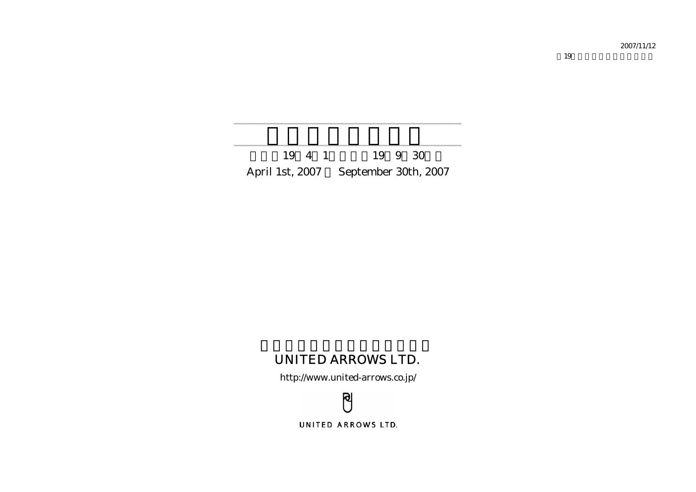2007/11/12

第19期中間決算説明会補足資料

19 4 1 19 9 30 April 1st, 2007 September 30th, 2007

# UNITED ARROWS LTD.

http://www.united-arrows.co.jp/

ၛ UNITED ARROWS LTD.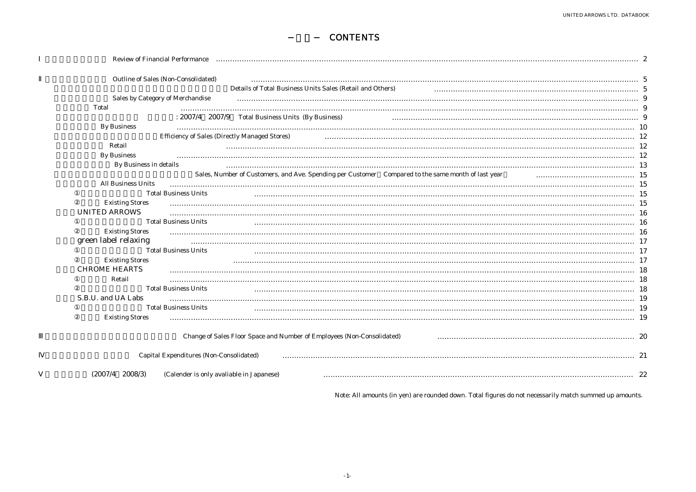### -目次- CONTENTS

| Review of Financial Performance                                                                    |  |
|----------------------------------------------------------------------------------------------------|--|
| Outline of Sales (Non-Consolidated)                                                                |  |
| Details of Total Business Units Sales (Retail and Others)                                          |  |
| Sales by Category of Merchandise                                                                   |  |
| Total                                                                                              |  |
| : 2007/4 2007/9 Total Business Units (By Business)                                                 |  |
| <b>By Business</b>                                                                                 |  |
| Efficiency of Sales (Directly Managed Stores)                                                      |  |
| Retail                                                                                             |  |
| <b>By Business</b>                                                                                 |  |
| By Business in details                                                                             |  |
| Sales, Number of Customers, and Ave. Spending per Customer Compared to the same month of last year |  |
| <b>All Business Units</b>                                                                          |  |
| <b>Total Business Units</b>                                                                        |  |
| <b>Existing Stores</b>                                                                             |  |
| UNITED ARROWS                                                                                      |  |
| <b>Total Business Units</b>                                                                        |  |
| <b>Existing Stores</b>                                                                             |  |
| green label relaxing                                                                               |  |
| <b>Total Business Units</b>                                                                        |  |
| <b>Existing Stores</b><br>CHROME HEARTS                                                            |  |
| Retail                                                                                             |  |
| <b>Total Business Units</b>                                                                        |  |
| S.B.U. and UA Labs                                                                                 |  |
| <b>Total Business Units</b>                                                                        |  |
| <b>Existing Stores</b>                                                                             |  |
|                                                                                                    |  |
| Change of Sales Floor Space and Number of Employees (Non-Consolidated)                             |  |
| Capital Expenditures (Non-Consolidated)                                                            |  |
| $(2007/4$ $2008/3)$<br>(Calender is only avaliable in Japanese)                                    |  |

Note: All amounts (in yen) are rounded down. Total figures do not necessarily match summed up amounts.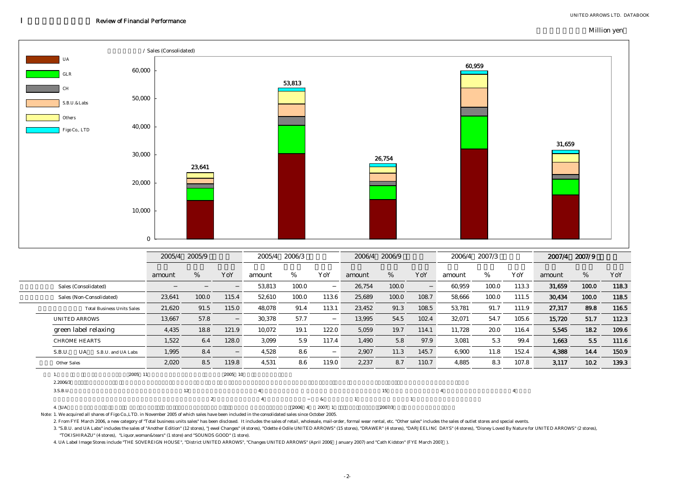#### Million yen



|                                           | 2005/4 | 2005/9         |         | 2005/4   | 2006/3 |       | 2006/4 | 2006/9 |       | 2006/4 | 2007/3 |       | 2007/4 | 2007/9 |       |
|-------------------------------------------|--------|----------------|---------|----------|--------|-------|--------|--------|-------|--------|--------|-------|--------|--------|-------|
|                                           | amount | %              | YoY     | amount   | %      | YoY   | amount | %      | YoY   | amount | %      | YoY   | amount | %      | YoY   |
| Sales (Consolidated)                      |        |                |         | 53,813   | 100.0  |       | 26,754 | 100.0  |       | 60,959 | 100.0  | 113.3 | 31,659 | 100.0  | 118.3 |
| Sales (Non-Consolidated)                  | 23,641 | 100.0          | 115.4   | 52,610   | 100.0  | 113.6 | 25,689 | 100.0  | 108.7 | 58,666 | 100.0  | 111.5 | 30,434 | 100.0  | 118.5 |
| <b>Total Business Units Sales</b>         | 21,620 | 91.5           | 115.0   | 48,078   | 91.4   | 113.1 | 23,452 | 91.3   | 108.5 | 53,781 | 91.7   | 111.9 | 27,317 | 89.8   | 116.5 |
| <b>UNITED ARROWS</b>                      | 13,667 | 57.8           |         | 30,378   | 57.7   |       | 13,995 | 54.5   | 102.4 | 32,071 | 54.7   | 105.6 | 15,720 | 51.7   | 112.3 |
| green label relaxing                      | 4,435  | 18.8           | 121.9   | 10,072   | 19.1   | 122.0 | 5,059  | 19.7   | 114.1 | 11,728 | 20.0   | 116.4 | 5,545  | 18.2   | 109.6 |
| <b>CHROME HEARTS</b>                      | 1,522  | 6.4            | 128.0   | 3,099    | 5.9    | 117.4 | 1,490  | 5.8    | 97.9  | 3,081  | 5.3    | 99.4  | 1,663  | 5.5    | 111.6 |
| S.B.U.<br><b>UA</b><br>S.B.U. and UA Labs | 1,995  | 8.4            |         | 4,528    | 8.6    |       | 2,907  | 11.3   | 145.7 | 6,900  | 11.8   | 152.4 | 4,388  | 14.4   | 150.9 |
| Other Sales                               | 2,020  | 8.5            | 119.8   | 4,531    | 8.6    | 119.0 | 2,237  | 8.7    | 110.7 | 4,885  | 8.3    | 107.8 | 3,117  | 10.2   | 139.3 |
| 2005 11<br>1.<br>2.2006/3                 |        |                | 2005 10 |          |        |       |        |        |       |        |        |       |        |        |       |
| 3.S.B.U.                                  |        | 12             |         |          |        |       |        | 15     |       |        |        |       |        |        |       |
|                                           |        | $\overline{2}$ |         | $\Delta$ |        | &     |        |        |       |        |        |       |        |        |       |
| 4. UA                                     |        |                |         |          | 2006 4 | 2007  |        | 2007/3 |       |        |        |       |        |        |       |

Note: 1. We acquired all shares of Figo Co.,LTD. in November 2005 of which sales have been included in the consolidated sales since October 2005.

2. From FYE March 2006, a new category of "Total business units sales" has been disclosed. It includes the sales of retail, wholesale, mail-order, formal wear rental, etc. "Other sales" includes the sales of outlet stores

3. "S.B.U. and UA Labs" includes the sales of "Another Edition" (12 stores), "Jewel Changes" (4 stores), "Odette é Odile UNITED ARROWS" (15 stores), "DRAWER" (4 stores), "DRAJEELINC DAYS" (4 stores), "Disney Loved By Natur "TOKISHIRAZU" (4 stores), "Liquor,woman&tears" (1 store) and "SOUNDS GOOD" (1 store).

4. UA Label Image Stores include "THE SOVEREIGN HOUSE", "District UNITED ARROWS", "Changes UNITED ARROWS" (April 2006 January 2007) and "Cath Kidston" (FYE March 2007 ).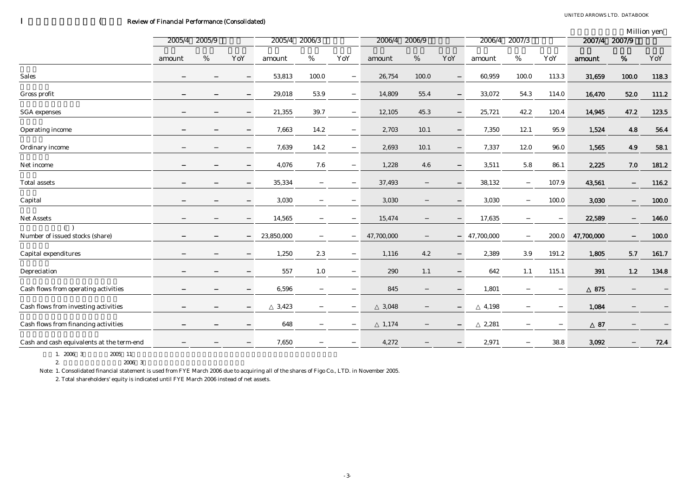# ( Review of Financial Performance (Consolidated)

|                                           |               |   |     |               |          |     |               |       |     |            |        |       |               |       | Million yen |
|-------------------------------------------|---------------|---|-----|---------------|----------|-----|---------------|-------|-----|------------|--------|-------|---------------|-------|-------------|
|                                           | 2005/4 2005/9 |   |     | 2005/4 2006/3 |          |     | 2006/4 2006/9 |       |     | 2006/4     | 2007/3 |       | 2007/4 2007/9 |       |             |
|                                           | amount        | % | YoY | amount        | %        | YoY | amount        | $\%$  | YoY | amount     | %      | YoY   | amount        | $\%$  | YoY         |
| <b>Sales</b>                              |               |   |     | 53,813        | 100.0    |     | 26,754        | 100.0 |     | 60,959     | 100.0  | 113.3 | 31,659        | 100.0 | 118.3       |
| Gross profit                              |               |   |     | 29,018        | 53.9     |     | 14,809        | 55.4  |     | 33,072     | 54.3   | 114.0 | 16,470        | 52.0  | 111.2       |
| <b>SGA</b> expenses                       |               |   |     | 21,355        | $39.7\,$ |     | 12,105        | 45.3  |     | 25,721     | 42.2   | 120.4 | 14,945        | 47.2  | 123.5       |
| Operating income                          |               |   |     | 7,663         | 14.2     |     | 2,703         | 10.1  |     | 7,350      | 12.1   | 95.9  | 1,524         | 4.8   | 56.4        |
| Ordinary income                           |               |   |     | 7,639         | 14.2     |     | 2,693         | 10.1  |     | 7,337      | 12.0   | 96.0  | 1,565         | 4.9   | 58.1        |
| Net income                                |               |   |     | 4,076         | $7.6\,$  |     | 1,228         | 4.6   |     | 3,511      | 5.8    | 86.1  | 2,225         | 7.0   | 181.2       |
| <b>Total assets</b>                       |               |   |     | 35,334        |          |     | 37,493        |       |     | 38,132     |        | 107.9 | 43,561        |       | 116.2       |
| Capital                                   |               |   |     | 3,030         |          |     | 3,030         |       |     | 3,030      |        | 100.0 | 3,030         |       | 100.0       |
| Net Assets                                |               |   |     | 14,565        |          |     | 15,474        |       |     | 17,635     |        |       | 22,589        |       | 146.0       |
| (<br>Number of issued stocks (share)      |               |   |     | 23,850,000    |          |     | 47,700,000    |       |     | 47,700,000 |        | 200.0 | 47,700,000    |       | 100.0       |
| Capital expenditures                      |               |   |     | 1,250         | $2.3\,$  |     | 1,116         | 4.2   |     | 2,389      | 3.9    | 191.2 | 1,805         | 5.7   | 161.7       |
| Depreciation                              |               |   |     | 557           | 1.0      |     | 290           | 1.1   |     | 642        | 1.1    | 115.1 | 391           | 1.2   | 134.8       |
| Cash flows from operating activities      |               |   |     | 6,596         |          |     | 845           |       |     | 1,801      |        |       | 875           |       |             |
| Cash flows from investing activities      |               |   |     | 3,423         |          |     | 3,048         |       |     | 4,198      |        |       | 1,084         |       |             |
| Cash flows from financing activities      |               |   |     | 648           |          |     | 1,174         |       |     | 2,281      |        |       | 87            |       |             |
| Cash and cash equivalents at the term-end |               |   |     | 7,650         |          |     | 4,272         |       |     | 2,971      |        | 38.8  | 3,092         |       | 72.4        |

1. 2006 3 2005 11 2. 純 $2006 \quad 3$ 

Note: 1. Consolidated financial statement is used from FYE March 2006 due to acquiring all of the shares of Figo Co., LTD. in November 2005.

2. Total shareholders' equity is indicated until FYE March 2006 instead of net assets.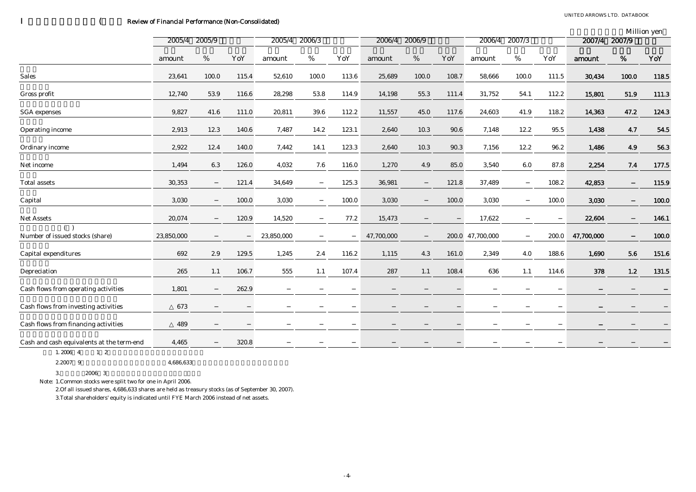# ( Review of Financial Performance (Non-Consolidated)

| Million ven |  |
|-------------|--|
|-------------|--|

|                                           | 2005/9<br>2005/4 |         | 2005/4 | 2006/3     |       | 2006/4 | 2006/9     |       | 2006/4 | 2007/3           |       | 2007/4 | 2007/9     | <sub></sub> |            |
|-------------------------------------------|------------------|---------|--------|------------|-------|--------|------------|-------|--------|------------------|-------|--------|------------|-------------|------------|
|                                           | amount           | $\%$    | YoY    | amount     | $\%$  | YoY    | amount     | $\%$  | YoY    | amount           | %     | YoY    | amount     | %           | YoY        |
| Sales                                     | 23,641           | 100.0   | 115.4  | 52,610     | 100.0 | 113.6  | 25,689     | 100.0 | 108.7  | 58,666           | 100.0 | 111.5  | 30,434     | 100.0       | 118.5      |
| Gross profit                              | 12,740           | 53.9    | 116.6  | 28,298     | 53.8  | 114.9  | 14,198     | 55.3  | 111.4  | 31,752           | 54.1  | 112.2  | 15,801     | 51.9        | 111.3      |
| <b>SGA</b> expenses                       | 9,827            | 41.6    | 111.0  | 20,811     | 39.6  | 112.2  | 11,557     | 45.0  | 117.6  | 24,603           | 41.9  | 118.2  | 14,363     | 47.2        | 124.3      |
| Operating income                          | 2,913            | 12.3    | 140.6  | 7,487      | 14.2  | 123.1  | 2,640      | 10.3  | 90.6   | 7,148            | 12.2  | 95.5   | 1,438      | 4.7         | $\bf 54.5$ |
| Ordinary income                           | 2,922            | 12.4    | 140.0  | 7,442      | 14.1  | 123.3  | 2,640      | 10.3  | 90.3   | 7,156            | 12.2  | 96.2   | 1,486      | 4.9         | 56.3       |
| Net income                                | 1,494            | $6.3\,$ | 126.0  | 4,032      | 7.6   | 116.0  | 1,270      | 4.9   | 85.0   | 3,540            | 6.0   | 87.8   | 2,254      | 7.4         | 177.5      |
| <b>Total assets</b>                       | 30,353           |         | 121.4  | 34,649     |       | 125.3  | 36,981     |       | 121.8  | 37,489           |       | 108.2  | 42,853     |             | 115.9      |
| Capital                                   | 3,030            |         | 100.0  | 3,030      |       | 100.0  | 3,030      |       | 100.0  | 3,030            |       | 100.0  | 3,030      |             | 100.0      |
| Net Assets                                | 20,074           |         | 120.9  | 14,520     |       | 77.2   | 15,473     |       |        | 17,622           |       |        | 22,604     |             | 146.1      |
| Number of issued stocks (share)           | 23,850,000       |         |        | 23,850,000 |       |        | 47,700,000 |       |        | 200.0 47,700,000 |       | 200.0  | 47,700,000 |             | 100.0      |
| Capital expenditures                      | 692              | 2.9     | 129.5  | 1,245      | 2.4   | 116.2  | 1,115      | 4.3   | 161.0  | 2,349            | 4.0   | 188.6  | 1,690      | $5.6\,$     | 151.6      |
| Depreciation                              | 265              | 1.1     | 106.7  | 555        | 1.1   | 107.4  | 287        | 1.1   | 108.4  | 636              | 1.1   | 114.6  | 378        | 1.2         | 131.5      |
| Cash flows from operating activities      | 1,801            |         | 262.9  |            |       |        |            |       |        |                  |       |        |            |             |            |
| Cash flows from investing activities      | 673              |         |        |            |       |        |            |       |        |                  |       |        |            |             |            |
| Cash flows from financing activities      | 489              |         |        |            |       |        |            |       |        |                  |       |        |            |             |            |
| Cash and cash equivalents at the term-end | 4,465            |         | 320.8  |            |       |        |            |       |        |                  |       |        |            |             |            |
|                                           |                  |         |        |            |       |        |            |       |        |                  |       |        |            |             |            |

1.2006 4 1 2

2.2007

9 4,686,633

3.2006 3

Note: 1.Common stocks were split two for one in April 2006.

2.Of all issued shares, 4,686,633 shares are held as treasury stocks (as of September 30, 2007).

3.Total shareholders' equity is indicated until FYE March 2006 instead of net assets.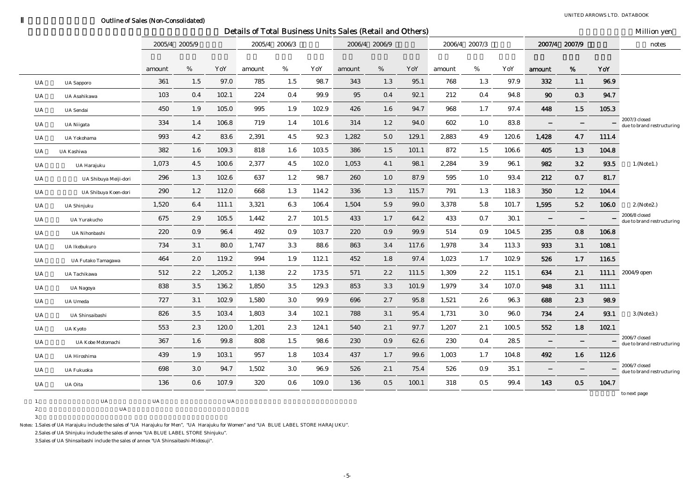### Outline of Sales (Non-Consolidated)

|           |                       |        |               |         |        |               |       | Details of Total Business Units Sales (Retail and Others) |               |       |        |               |       |        |               |       | Million yen                                 |
|-----------|-----------------------|--------|---------------|---------|--------|---------------|-------|-----------------------------------------------------------|---------------|-------|--------|---------------|-------|--------|---------------|-------|---------------------------------------------|
|           |                       |        | 2005/4 2005/9 |         |        | 2005/4 2006/3 |       |                                                           | 2006/4 2006/9 |       |        | 2006/4 2007/3 |       |        | 2007/4 2007/9 |       | notes                                       |
|           |                       | amount | %             | YoY     | amount | %             | YoY   | amount                                                    | %             | YoY   | amount | %             | YoY   | amount | %             | YoY   |                                             |
| UA        | <b>UA</b> Sapporo     | 361    | 1.5           | 97.0    | 785    | 1.5           | 98.7  | 343                                                       | 1.3           | 95.1  | 768    | 1.3           | 97.9  | 332    | 1.1           | 96.9  |                                             |
| UA        | UA Asahikawa          | 103    | 0.4           | 102.1   | 224    | 0.4           | 99.9  | 95                                                        | 0.4           | 92.1  | 212    | 0.4           | 94.8  | 90     | 0.3           | 94.7  |                                             |
| <b>UA</b> | <b>UA</b> Sendai      | 450    | 1.9           | 105.0   | 995    | 1.9           | 102.9 | 426                                                       | 1.6           | 94.7  | 968    | 1.7           | 97.4  | 448    | 1.5           | 105.3 |                                             |
| UA        | <b>UA</b> Niigata     | 334    | 1.4           | 106.8   | 719    | 1.4           | 101.6 | 314                                                       | 1.2           | 94.0  | 602    | 1.0           | 83.8  |        |               |       | 2007/3 closed<br>due to brand restructuring |
| <b>UA</b> | UA Yokohama           | 993    | 4.2           | 83.6    | 2,391  | 4.5           | 92.3  | 1,282                                                     | 5.0           | 129.1 | 2,883  | 4.9           | 120.6 | 1,428  | 4.7           | 111.4 |                                             |
| <b>UA</b> | UA Kashiwa            | 382    | 1.6           | 109.3   | 818    | 1.6           | 103.5 | 386                                                       | 1.5           | 101.1 | 872    | 1.5           | 106.6 | 405    | 1.3           | 104.8 |                                             |
| <b>UA</b> | UA Harajuku           | 1,073  | 4.5           | 100.6   | 2,377  | 4.5           | 102.0 | 1,053                                                     | 4.1           | 98.1  | 2,284  | 3.9           | 96.1  | 982    | 3.2           | 93.5  | 1.(Note1.)                                  |
| <b>UA</b> | UA Shibuya Meiji-dori | 296    | 1.3           | 102.6   | 637    | 1.2           | 98.7  | 260                                                       | 1.0           | 87.9  | 595    | 1.0           | 93.4  | 212    | 0.7           | 81.7  |                                             |
| UA        | UA Shibuya Koen-dori  | 290    | 1.2           | 112.0   | 668    | 1.3           | 114.2 | 336                                                       | 1.3           | 115.7 | 791    | 1.3           | 118.3 | 350    | 1.2           | 104.4 |                                             |
| UA        | UA Shinjuku           | 1,520  | 6.4           | 111.1   | 3,321  | 6.3           | 106.4 | 1,504                                                     | 5.9           | 99.0  | 3,378  | 5.8           | 101.7 | 1,595  | 5.2           | 106.0 | 2. (Note2.)                                 |
| UA        | <b>UA Yurakucho</b>   | 675    | 2.9           | 105.5   | 1,442  | 2.7           | 101.5 | 433                                                       | 1.7           | 64.2  | 433    | 0.7           | 30.1  |        |               |       | 2006/8 closed<br>due to brand restructuring |
| UA        | UA Nihonbashi         | 220    | 0.9           | 96.4    | 492    | 0.9           | 103.7 | 220                                                       | 0.9           | 99.9  | 514    | 0.9           | 104.5 | 235    | 0.8           | 106.8 |                                             |
| <b>UA</b> | <b>UA Ikebukuro</b>   | 734    | 3.1           | 80.0    | 1,747  | $3.3\,$       | 88.6  | 863                                                       | 3.4           | 117.6 | 1,978  | 3.4           | 113.3 | 933    | 3.1           | 108.1 |                                             |
| UA        | UA Futako Tamagawa    | 464    | 2.0           | 119.2   | 994    | 1.9           | 112.1 | 452                                                       | 1.8           | 97.4  | 1,023  | 1.7           | 102.9 | 526    | 1.7           | 116.5 |                                             |
| <b>UA</b> | UA Tachikawa          | 512    | 2.2           | 1,205.2 | 1,138  | 2.2           | 173.5 | 571                                                       | 2.2           | 111.5 | 1,309  | 2.2           | 115.1 | 634    | 2.1           |       | 111.1 2004/9 open                           |
| UA        | UA Nagoya             | 838    | 3.5           | 136.2   | 1,850  | 3.5           | 129.3 | 853                                                       | 3.3           | 101.9 | 1,979  | 3.4           | 107.0 | 948    | 3.1           | 111.1 |                                             |
| UA        | UA Umeda              | 727    | 3.1           | 102.9   | 1,580  | 3.0           | 99.9  | 696                                                       | 2.7           | 95.8  | 1,521  | 2.6           | 96.3  | 688    | 2.3           | 98.9  |                                             |
| UA        | UA Shinsaibashi       | 826    | 3.5           | 103.4   | 1,803  | 3.4           | 102.1 | 788                                                       | 3.1           | 95.4  | 1,731  | 3.0           | 96.0  | 734    | 2.4           | 93.1  | 3. (Note 3.)                                |
| UA        | <b>UA Kyoto</b>       | 553    | 2.3           | 120.0   | 1,201  | $2.3\,$       | 124.1 | 540                                                       | 2.1           | 97.7  | 1,207  | 2.1           | 100.5 | 552    | 1.8           | 102.1 |                                             |
| UA        | UA Kobe Motomachi     | 367    | 1.6           | 99.8    | 808    | 1.5           | 98.6  | 230                                                       | 0.9           | 62.6  | 230    | 0.4           | 28.5  |        |               |       | 2006/7 closed<br>due to brand restructuring |
| UA        | UA Hiroshima          | 439    | 1.9           | 103.1   | 957    | 1.8           | 103.4 | 437                                                       | 1.7           | 99.6  | 1,003  | 1.7           | 104.8 | 492    | 1.6           | 112.6 |                                             |
| UA        | <b>UA Fukuoka</b>     | 698    | 3.0           | 94.7    | 1,502  | 3.0           | 96.9  | 526                                                       | 2.1           | 75.4  | 526    | 0.9           | 35.1  |        |               |       | 2006/7 closed<br>due to brand restructuring |
| UA        | UA Oita               | 136    | 0.6           | 107.9   | 320    | 0.6           | 109.0 | 136                                                       | 0.5           | 100.1 | 318    | 0.5           | 99.4  | 143    | 0.5           | 104.7 |                                             |
|           |                       |        |               |         |        |               |       |                                                           |               |       |        |               |       |        |               |       | to next page                                |

1. UA UA UA UA

2.

3.

Notes: 1.Sales of UA Harajuku include the sales of "UA Harajuku for Men", "UA Harajuku for Women" and "UA BLUE LABEL STORE HARAJUKU".

2.Sales of UA Shinjuku include the sales of annex "UA BLUE LABEL STORE Shinjuku".

3.Sales of UA Shinsaibashi include the sales of annex "UA Shinsaibashi-Midosuji".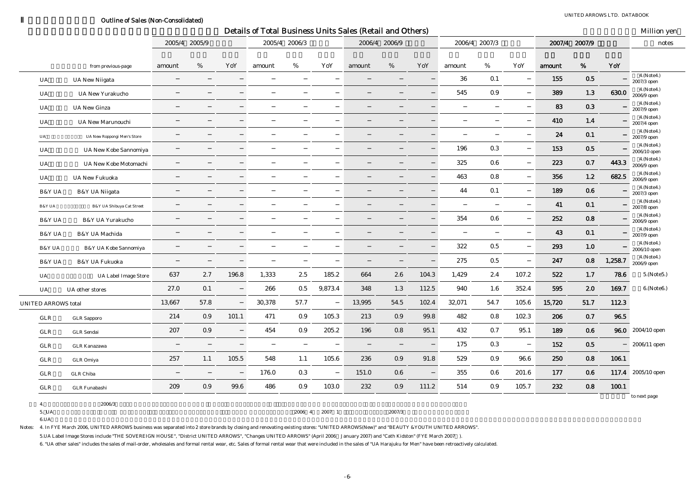#### Outline of Sales (Non-Consolidated)

|                            |                             |               |      |       |        |               |         | Details of Total Business Units Sales (Retail and Others) |               |       |        |               |       |        |               |         | Million yen                      |
|----------------------------|-----------------------------|---------------|------|-------|--------|---------------|---------|-----------------------------------------------------------|---------------|-------|--------|---------------|-------|--------|---------------|---------|----------------------------------|
|                            |                             | 2005/4 2005/9 |      |       |        | 2005/4 2006/3 |         |                                                           | 2006/4 2006/9 |       |        | 2006/4 2007/3 |       |        | 2007/4 2007/9 |         | notes                            |
|                            | from previous-page          | amount        | %    | YoY   | amount | %             | YoY     | amount                                                    | %             | YoY   | amount | %             | YoY   | amount | %             | YoY     |                                  |
| UA                         | <b>UA New Niigata</b>       |               |      |       |        |               |         |                                                           |               |       | 36     | 0.1           |       | 155    | 0.5           |         | 4.(Note4.)<br>2007/3 open        |
| UA                         | <b>UA New Yurakucho</b>     |               |      |       |        |               |         |                                                           |               |       | 545    | 0.9           |       | 389    | 1.3           | 630.0   | 4.(Note4.)<br>2006/9 open        |
| UA                         | <b>UA New Ginza</b>         |               |      |       |        |               |         |                                                           |               |       |        |               |       | 83     | 0.3           |         | 4.(Note4.)<br>2007/9 open        |
| UA                         | UA New Marunouchi           |               |      |       |        |               |         |                                                           |               |       |        |               |       | 410    | 1.4           |         | 4.(Note4.)<br>2007/4 open        |
| UA                         | UA New Roppongi Men's Store |               |      |       |        |               |         |                                                           |               |       |        |               |       | 24     | 0.1           |         | 4.(Note4.)<br>2007/9 open        |
| UA                         | UA New Kobe Sannomiya       |               |      |       |        |               |         |                                                           |               |       | 196    | 0.3           |       | 153    | $0.5\,$       |         | 4.(Note4.)<br>2006/10 open       |
| UA                         | UA New Kobe Motomachi       |               |      |       |        |               |         |                                                           |               |       | 325    | 0.6           |       | 223    | 0.7           | 443.3   | 4.(Note4.)<br>2006/9 open        |
| UA                         | <b>UA New Fukuoka</b>       |               |      |       |        |               |         |                                                           |               |       | 463    | 0.8           |       | 356    | 1.2           | 682.5   | 4.(Note4.)<br>2006/9 open        |
| B&Y UA                     | B&Y UA Niigata              |               |      |       |        |               |         |                                                           |               |       | 44     | 0.1           |       | 189    | 0.6           |         | 4.(Note4.)<br>2007/3 open        |
| B&Y UA                     | B&Y UA Shibuya Cat Street   |               |      |       |        |               |         |                                                           |               |       |        |               |       | 41     | 0.1           |         | 4.(Note4.)<br>2007/8 open        |
| <b>B&amp;Y UA</b>          | <b>B&amp;Y UA Yurakucho</b> |               |      |       |        |               |         |                                                           |               |       | 354    | $0.6\,$       |       | 252    | 0.8           |         | 4.(Note4.)<br>2006/9 open        |
| B&Y UA                     | B&Y UA Machida              |               |      |       |        |               |         |                                                           |               |       |        |               |       | 43     | 0.1           |         | 4.(Note4.)<br>2007/9 open        |
| B&Y UA                     | B&Y UA Kobe Sannomiya       |               |      |       |        |               |         |                                                           |               |       | 322    | $0.5\,$       |       | 293    | 1.0           |         | 4.(Note4.)<br>2006/10 open       |
| B&Y UA                     | B&Y UA Fukuoka              |               |      |       |        |               |         |                                                           |               |       | 275    | $0.5\,$       |       | 247    | 0.8           | 1,258.7 | 4.(Note4.)<br>$2006/9$ open $\,$ |
| UA                         | <b>UA Label Image Store</b> | 637           | 2.7  | 196.8 | 1,333  | 2.5           | 185.2   | 664                                                       | 2.6           | 104.3 | 1,429  | 2.4           | 107.2 | 522    | 1.7           | 78.6    | 5.(Note5.)                       |
| UA                         | UA other stores             | 27.0          | 0.1  |       | 266    | $0.5\,$       | 9,873.4 | 348                                                       | 1.3           | 112.5 | 940    | 1.6           | 352.4 | 595    | 2.0           | 169.7   | 6.(Note6.)                       |
| <b>UNITED ARROWS total</b> |                             | 13,667        | 57.8 |       | 30,378 | 57.7          |         | 13,995                                                    | 54.5          | 102.4 | 32,071 | 54.7          | 105.6 | 15,720 | 51.7          | 112.3   |                                  |
| GLR                        | <b>GLR</b> Sapporo          | 214           | 0.9  | 101.1 | 471    | 0.9           | 105.3   | 213                                                       | 0.9           | 99.8  | 482    | 0.8           | 102.3 | 206    | 0.7           | 96.5    |                                  |
| GLR                        | <b>GLR</b> Sendai           | 207           | 0.9  |       | 454    | 0.9           | 205.2   | 196                                                       | 0.8           | 95.1  | 432    | 0.7           | 95.1  | 189    | 0.6           |         | 96.0 2004/10 open                |
| GLR                        | <b>GLR Kanazawa</b>         |               |      |       |        |               |         |                                                           |               |       | 175    | 0.3           |       | 152    | 0.5           |         | 2006/11 open                     |
| GLR                        | GLR Omiya                   | 257           | 1.1  | 105.5 | 548    | 1.1           | 105.6   | 236                                                       | 0.9           | 91.8  | 529    | 0.9           | 96.6  | 250    | 0.8           | 106.1   |                                  |
| GLR                        | <b>GLR</b> Chiba            |               |      |       | 176.0  | 0.3           |         | 151.0                                                     | 0.6           |       | 355    | 0.6           | 201.6 | 177    | 0.6           |         | 117.4 2005/10 open               |
| GLR                        | <b>GLR</b> Funabashi        | 209           | 0.9  | 99.6  | 486    | 0.9           | 103.0   | 232                                                       | 0.9           | 111.2 | 514    | 0.9           | 105.7 | 232    | 0.8           | 100.1   |                                  |
| 4.                         | 2006/3                      |               |      |       |        |               |         |                                                           |               |       |        |               |       |        |               |         | to next page                     |
| 5. UA                      |                             |               |      |       |        | 2006 4        | 2007 1  |                                                           | 2007/3        |       |        |               |       |        |               |         |                                  |

6.UA

Notes: 4. In FYE March 2006, UNITED ARROWS business was separated into 2 store brands by closing and renovating existing stores: "UNITED ARROWS(New)" and "BEAUTY &YOUTH UNITED ARROWS".

5.UA Label Image Stores include "THE SOVEREIGN HOUSE", "District UNITED ARROWS", "Changes UNITED ARROWS" (April 2006 January 2007) and "Cath Kidston" (FYE March 2007 ).

6. "UA other sales" includes the sales of mail-order, wholesales and formal rental wear, etc. Sales of formal rental wear that were included in the sales of "UA Harajuku for Men" have been retroactively calculated.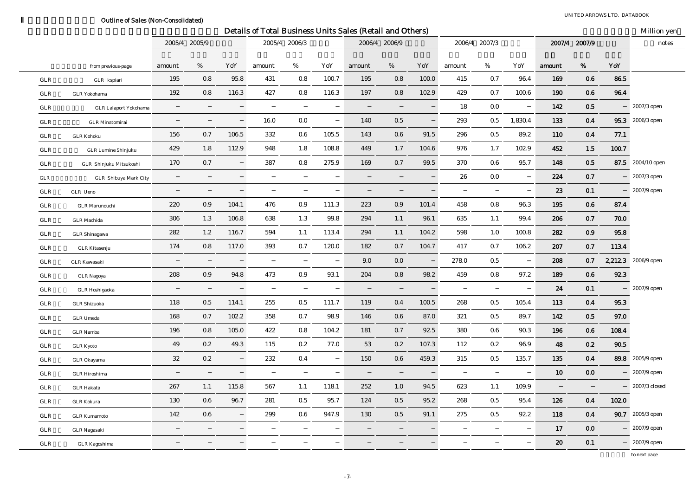### Outline of Sales (Non-Consolidated)

 $\overline{\phantom{0}}$ 

|             |                              |        |               |       | Details of Total Business Units Sales (Retail and Others) |               |       |        |                |       |        |               |          |        |                |       | Million yen         |
|-------------|------------------------------|--------|---------------|-------|-----------------------------------------------------------|---------------|-------|--------|----------------|-------|--------|---------------|----------|--------|----------------|-------|---------------------|
|             |                              |        | 2005/4 2005/9 |       |                                                           | 2005/4 2006/3 |       |        | 2006/4 2006/9  |       |        | 2006/4 2007/3 |          |        | 2007/4 2007/9  |       | notes               |
|             | from previous-page           | amount | %             | YoY   | amount                                                    | %             | YoY   | amount | %              | YoY   | amount | $\%$          | YoY      | amount | %              | YoY   |                     |
| ${\tt GLR}$ | <b>GLR</b> Ikspiari          | 195    | 0.8           | 95.8  | 431                                                       | 0.8           | 100.7 | 195    | 0.8            | 100.0 | 415    | 0.7           | 96.4     | 169    | 0.6            | 86.5  |                     |
| GLR         | <b>GLR</b> Yokohama          | 192    | 0.8           | 116.3 | 427                                                       | 0.8           | 116.3 | 197    | 0.8            | 102.9 | 429    | 0.7           | 100.6    | 190    | 0.6            | 96.4  |                     |
| GLR         | <b>GLR</b> Lalaport Yokohama |        |               |       |                                                           |               |       |        |                |       | 18     | 0.0           |          | 142    | 0.5            |       | 2007/3 open         |
| GLR         | <b>GLR</b> Minatomirai       |        |               |       | 16.0                                                      | 0.0           |       | 140    | 0.5            |       | 293    | 0.5           | 1,830.4  | 133    | $0.4\,$        |       | 95.3 2006/3 open    |
| GLR         | <b>GLR Kohoku</b>            | 156    | 0.7           | 106.5 | 332                                                       | $0.6\,$       | 105.5 | 143    | $0.6\,$        | 91.5  | 296    | 0.5           | 89.2     | 110    | 0.4            | 77.1  |                     |
| GLR         | <b>GLR</b> Lumine Shinjuku   | 429    | 1.8           | 112.9 | 948                                                       | 1.8           | 108.8 | 449    | 1.7            | 104.6 | 976    | 1.7           | 102.9    | 452    | 1.5            | 100.7 |                     |
| GLR         | GLR Shinjuku Mitsukoshi      | 170    | 0.7           |       | 387                                                       | 0.8           | 275.9 | 169    | 0.7            | 99.5  | 370    | 0.6           | 95.7     | 148    | 0.5            |       | 87.5 2004/10 open   |
| ${\tt GLR}$ | GLR Shibuya Mark City        |        |               |       |                                                           |               |       |        |                |       | 26     | 0.0           |          | 224    | 0.7            |       | 2007/3 open         |
| ${\rm GLR}$ | GLR Ueno                     |        |               |       |                                                           |               |       |        |                |       |        |               |          | 23     | 0.1            |       | 2007/9 open         |
| GLR         | <b>GLR</b> Marunouchi        | 220    | 0.9           | 104.1 | 476                                                       | 0.9           | 111.3 | 223    | 0.9            | 101.4 | 458    | 0.8           | 96.3     | 195    | $\bf 0.6$      | 87.4  |                     |
| GLR         | <b>GLR</b> Machida           | 306    | 1.3           | 106.8 | 638                                                       | 1.3           | 99.8  | 294    | 1.1            | 96.1  | 635    | 1.1           | 99.4     | 206    | 0.7            | 70.0  |                     |
| GLR         | <b>GLR</b> Shinagawa         | 282    | 1.2           | 116.7 | 594                                                       | 1.1           | 113.4 | 294    | 1.1            | 104.2 | 598    | 1.0           | 100.8    | 282    | 0.9            | 95.8  |                     |
| GLR         | <b>GLR</b> Kitasenju         | 174    | 0.8           | 117.0 | 393                                                       | 0.7           | 120.0 | 182    | 0.7            | 104.7 | 417    | 0.7           | 106.2    | 207    | 0.7            | 113.4 |                     |
| ${\rm GLR}$ | <b>GLR Kawasaki</b>          |        |               |       |                                                           |               |       | 9.0    | 0.0            |       | 278.0  | 0.5           |          | 208    | 0.7            |       | 2,212.3 2006/9 open |
| ${\tt GLR}$ | <b>GLR Nagoya</b>            | 208    | 0.9           | 94.8  | 473                                                       | 0.9           | 93.1  | 204    | 0.8            | 98.2  | 459    | 0.8           | 97.2     | 189    | 0.6            | 92.3  |                     |
| GLR         | <b>GLR</b> Hoshigaoka        |        |               |       |                                                           |               |       |        |                |       |        |               |          | 24     | 0.1            |       | 2007/9 open         |
| ${\rm GLR}$ | <b>GLR Shizuoka</b>          | 118    | 0.5           | 114.1 | 255                                                       | 0.5           | 111.7 | 119    | 0.4            | 100.5 | 268    | 0.5           | 105.4    | 113    | 0.4            | 95.3  |                     |
| ${\rm GLR}$ | <b>GLR</b> Umeda             | 168    | 0.7           | 102.2 | 358                                                       | 0.7           | 98.9  | 146    | $0.6\,$        | 87.0  | 321    | 0.5           | 89.7     | 142    | $0.5\,$        | 97.0  |                     |
| GLR         | <b>GLR</b> Namba             | 196    | 0.8           | 105.0 | 422                                                       | 0.8           | 104.2 | 181    | 0.7            | 92.5  | 380    | 0.6           | 90.3     | 196    | 0.6            | 108.4 |                     |
| GLR         | <b>GLR Kyoto</b>             | 49     | $0.2\,$       | 49.3  | 115                                                       | $\rm 0.2$     | 77.0  | 53     | 0.2            | 107.3 | 112    | 0.2           | 96.9     | 48     | 0.2            | 90.5  |                     |
| GLR         | GLR Okayama                  | 32     | 0.2           |       | 232                                                       | 0.4           |       | 150    | 0.6            | 459.3 | 315    | 0.5           | 135.7    | 135    | 0.4            |       | 89.8 2005/9 open    |
| GLR         | <b>GLR</b> Hiroshima         |        |               |       |                                                           |               |       |        |                |       |        |               |          | 10     | 0.0            |       | 2007/9 open         |
| GLR         | <b>GLR Hakata</b>            | 267    | 1.1           | 115.8 | 567                                                       | 1.1           | 118.1 | 252    | 1.0            | 94.5  | 623    | 1.1           | 109.9    |        |                |       | 2007/3 closed       |
| GLR         | <b>GLR Kokura</b>            | 130    | 0.6           | 96.7  | ${\bf 281}$                                               | $0.5\,$       | 95.7  | 124    | $\mathbf{0.5}$ | 95.2  | 268    | 0.5           | 95.4     | 126    | 0.4            | 102.0 |                     |
| GLR         | <b>GLR Kumamoto</b>          | 142    | 0.6           |       | 299                                                       | 0.6           | 947.9 | 130    | 0.5            | 91.1  | 275    | 0.5           | $92.2\,$ | 118    | $\mathbf{0.4}$ |       | 90.7 2005/3 open    |
| ${\rm GLR}$ | <b>GLR Nagasaki</b>          |        |               |       |                                                           |               |       |        |                |       |        |               |          | 17     | 0.0            |       | 2007/9 open         |
| ${\tt GLR}$ | <b>GLR</b> Kagoshima         |        |               |       |                                                           |               |       |        |                |       |        |               |          | 20     | 0.1            |       | 2007/9 open         |

to next page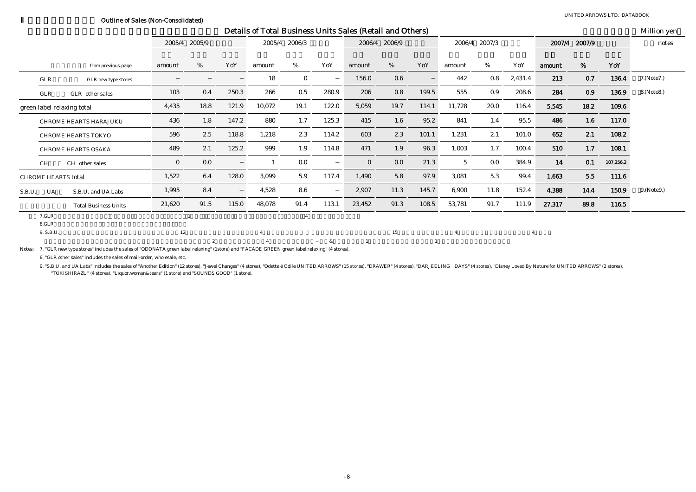#### Outline of Sales (Non-Consolidated)

UNITED ARROWS LTD. DATABOOK

|                            |                |                             |              |                |       |        |                |       | Details of Total Business Units Sales (Retail and Others) |               |       |                 |               |                |        |               |           | Million yen  |
|----------------------------|----------------|-----------------------------|--------------|----------------|-------|--------|----------------|-------|-----------------------------------------------------------|---------------|-------|-----------------|---------------|----------------|--------|---------------|-----------|--------------|
|                            |                |                             |              | 2005/4 2005/9  |       |        | 2005/4 2006/3  |       |                                                           | 2006/4 2006/9 |       |                 | 2006/4 2007/3 |                |        | 2007/4 2007/9 |           | notes        |
|                            |                |                             |              |                |       |        |                |       |                                                           |               |       |                 |               |                |        |               |           |              |
|                            |                | from previous-page          | amount       | %              | YoY   | amount | %              | YoY   | amount                                                    | %             | YoY   | amount          | %             | YoY            | amount | %             | YoY       |              |
|                            | GLR            | GLR new type stores         |              |                |       | 18     | $\bf{0}$       |       | 156.0                                                     | 0.6           |       | 442             | 0.8           | 2,431.4        | 213    | 0.7           | 136.4     | 7.(Note7.)   |
|                            | GLR            | GLR other sales             | 103          | 0.4            | 250.3 | 266    | 0.5            | 280.9 | 206                                                       | 0.8           | 199.5 | 555             | 0.9           | 208.6          | 284    | 0.9           | 136.9     | 8.(Note8.)   |
|                            |                | green label relaxing total  | 4,435        | 18.8           | 121.9 | 10,072 | 19.1           | 122.0 | 5,059                                                     | 19.7          | 114.1 | 11,728          | 20.0          | 116.4          | 5,545  | 18.2          | 109.6     |              |
|                            |                | CHROME HEARTS HARAJUKU      | 436          | 1.8            | 147.2 | 880    | 1.7            | 125.3 | 415                                                       | 1.6           | 95.2  | 841             | 1.4           | 95.5           | 486    | 1.6           | 117.0     |              |
|                            |                | CHROME HEARTS TOKYO         | 596          | 2.5            | 118.8 | 1,218  | 2.3            | 114.2 | 603                                                       | 2.3           | 101.1 | 1,231           | 2.1           | 101.0          | 652    | 2.1           | 108.2     |              |
|                            |                | <b>CHROME HEARTS OSAKA</b>  | 489          | 2.1            | 125.2 | 999    | 1.9            | 114.8 | 471                                                       | 1.9           | 96.3  | 1,003           | 1.7           | 100.4          | 510    | 1.7           | 108.1     |              |
| <b>CH</b>                  |                | CH other sales              | $\mathbf{0}$ | 0.0            |       |        | 0.0            |       | $\mathbf{0}$                                              | 0.0           | 21.3  | $5\phantom{.0}$ | 0.0           | 384.9          | 14     | 0.1           | 107,256.2 |              |
| <b>CHROME HEARTS total</b> |                |                             | 1,522        | 6.4            | 128.0 | 3,099  | 5.9            | 117.4 | 1,490                                                     | 5.8           | 97.9  | 3,081           | 5.3           | 99.4           | 1,663  | 5.5           | 111.6     |              |
| S.B.U.                     | UA             | S.B.U. and UA Labs          | 1,995        | 8.4            |       | 4,528  | 8.6            |       | 2,907                                                     | 11.3          | 145.7 | 6,900           | 11.8          | 152.4          | 4,388  | 14.4          | 150.9     | 9. (Note 9.) |
|                            |                | <b>Total Business Units</b> | 21,620       | 91.5           | 115.0 | 48,078 | 91.4           | 113.1 | 23,452                                                    | 91.3          | 108.5 | 53,781          | 91.7          | 111.9          | 27,317 | 89.8          | 116.5     |              |
|                            | 7.GLR<br>8.GLR |                             |              |                |       |        | $\overline{4}$ |       |                                                           |               |       |                 |               |                |        |               |           |              |
|                            | 9. S.B.U.      |                             | 12           |                |       |        |                |       |                                                           | 15            |       |                 |               | $\overline{4}$ |        |               |           |              |
|                            |                |                             |              | $\overline{2}$ |       |        |                | &     |                                                           |               |       |                 |               |                |        |               |           |              |

Notes: 7. "GLR new type stores" includes the sales of "ODONATA green label relaxing" (1store) and "FACADE GREEN green label relaxing" (4 stores).

8. "GLR other sales" includes the sales of mail-order, wholesale, etc.

9. "S.B.U. and UA Labs" includes the sales of "Another Edition" (12 stores), "Jewel Changes" (4 stores), "Odette é Odile UNITED ARROWS" (15 stores), "DRAWER" (4 stores), "DARJEELING DAYS" (4 stores), "Disney Loved By Natur "TOKISHIRAZU" (4 stores), "Liquor,woman&tears" (1 store) and "SOUNDS GOOD" (1 store).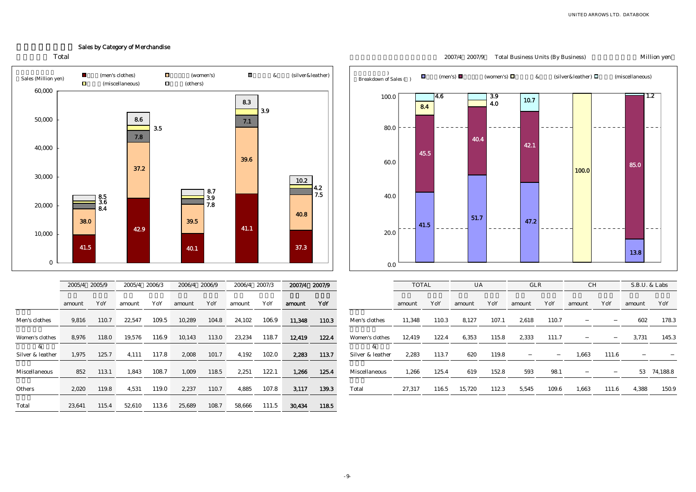### Sales by Category of Merchandise





|                       | 2005/4 | 2005/9 | 2005/4 | 2006/3 | 2006/4 | 2006/9 | 2006/4 | 2007/3 | 2007/4 | 2007/9 |                       |
|-----------------------|--------|--------|--------|--------|--------|--------|--------|--------|--------|--------|-----------------------|
|                       | amount | YoY    | amount | YoY    | amount | YoY    | amount | YoY    | amount | YoY    |                       |
| Men's clothes         | 9,816  | 110.7  | 22,547 | 109.5  | 10,289 | 104.8  | 24,102 | 106.9  | 11,348 | 110.3  | Men's clothes         |
| Women's clothes       | 8.976  | 118.0  | 19.576 | 116.9  | 10.143 | 113.0  | 23.234 | 118.7  | 12,419 | 122.4  | Women's clothes       |
| &<br>Silver & leather | 1.975  | 125.7  | 4.111  | 117.8  | 2.008  | 101.7  | 4.192  | 102.0  | 2,283  | 113.7  | &<br>Silver & leather |
| Miscellaneous         | 852    | 113.1  | 1,843  | 108.7  | 1,009  | 118.5  | 2,251  | 122.1  | 1,266  | 125.4  | Miscellaneous         |
|                       |        |        |        |        |        |        |        |        |        |        |                       |
| Others                | 2,020  | 119.8  | 4,531  | 119.0  | 2,237  | 110.7  | 4,885  | 107.8  | 3,117  | 139.3  | Total                 |
| Total                 | 23.641 | 115.4  | 52.610 | 113.6  | 25.689 | 108.7  | 58.666 | 111.5  | 30,434 | 118.5  |                       |



| 79   | 2005/4 | 2006/3 | 2006/4 | 2006/9 | 2006/4 | 2007/3 |        | 2007/4 2007/9 |                       | <b>TOTAL</b> |       | <b>UA</b> |       | <b>GLR</b> |       | <b>CH</b> |       | S.B.U. & Labs |             |
|------|--------|--------|--------|--------|--------|--------|--------|---------------|-----------------------|--------------|-------|-----------|-------|------------|-------|-----------|-------|---------------|-------------|
| Y    | amount | YoY    | amount | YoY    | amount | YoY    | amount | YoY           |                       | amount       | YoY   | amount    | YoY   | amount     | YoY   | amount    | YoY   | amount        | YoY         |
| 0.7  | 22,547 | 109.5  | 10,289 | 104.8  | 24,102 | 106.9  | 11,348 | 110.3         | Men's clothes         | 11,348       | 110.3 | 8,127     | 107.1 | 2,618      | 110.7 |           |       | 602           | 178.3       |
| 8.0  | 19,576 | 116.9  | 10,143 | 113.0  | 23,234 | 118.7  | 12,419 | 122.4         | Women's clothes       | 12,419       | 122.4 | 6,353     | 115.8 | 2,333      | 111.7 |           |       | 3,731         | 145.3       |
| 25.7 | 4,111  | 117.8  | 2,008  | 101.7  | 4,192  | 102.0  | 2,283  | 113.7         | &<br>Silver & leather | 2,283        | 113.7 | 620       | 119.8 |            |       | 1,663     | 111.6 |               |             |
| 3.1  | 1,843  | 108.7  | 1,009  | 118.5  | 2,251  | 122.1  | 1,266  | 125.4         | Miscellaneous         | 1,266        | 125.4 | 619       | 152.8 | 593        | 98.1  |           |       |               | 53 74,188.8 |
| 9.8  | 4,531  | 119.0  | 2,237  | 110.7  | 4,885  | 107.8  | 3,117  | 139.3         | Total                 | 27.317       | 116.5 | 15,720    | 112.3 | 5,545      | 109.6 | 1,663     | 111.6 | 4,388         | 150.9       |

#### 2007/9 2007/9 Total Business Units (By Business) Million yen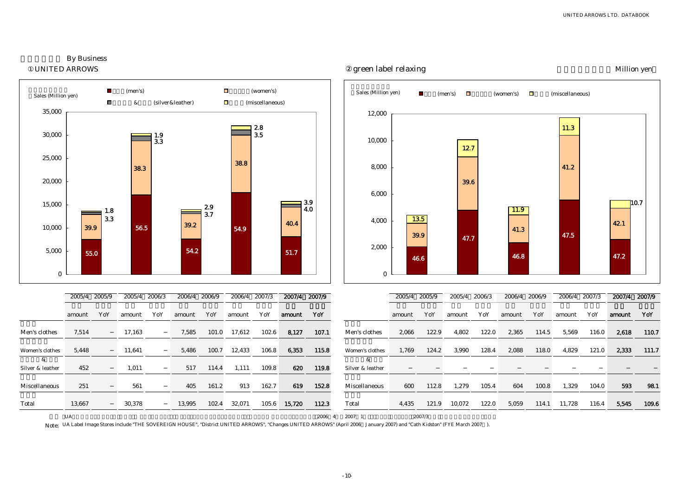green label relaxing and the state of the Million yen





Note: UA Label Image Stores include "THE SOVEREIGN HOUSE", "District UNITED ARROWS", "Changes UNITED ARROWS" (April 2006 January 2007) and "Cath Kidston" (FYE March 2007 ).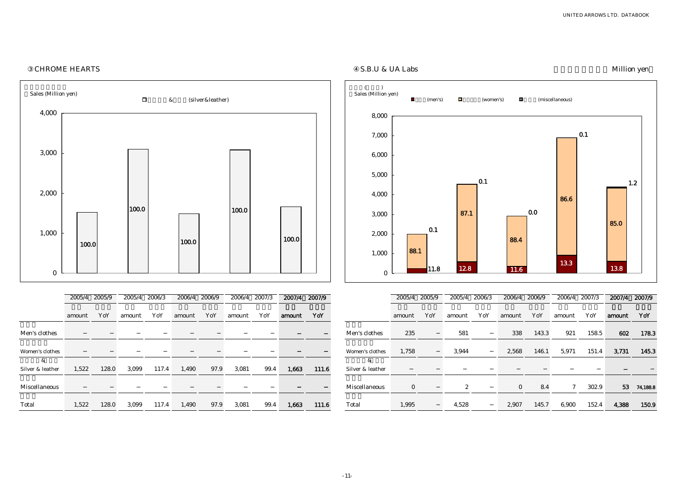

### -11-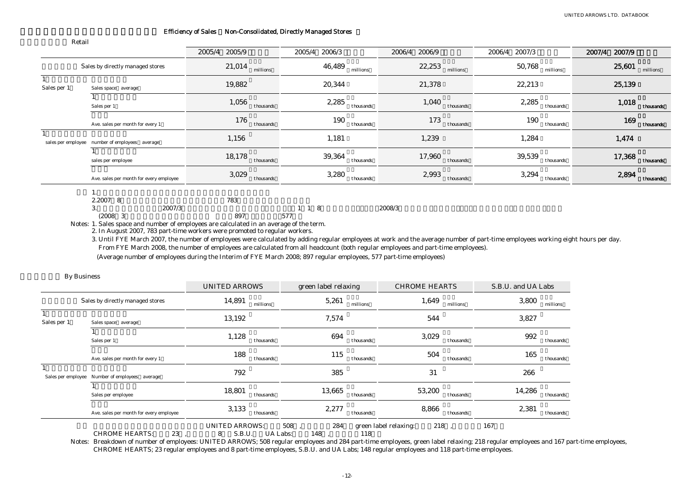#### Efficiency of Sales Non-Consolidated, Directly Managed Stores

|             |                                                | 2005/4<br>2005/9    | 2006/3<br>2005/4    | 2006/9<br>2006/4    | 2007/3<br>2006/4    | 2007/9<br>2007/4    |
|-------------|------------------------------------------------|---------------------|---------------------|---------------------|---------------------|---------------------|
|             | Sales by directly managed stores               | $21,014$ millions   | 46,489<br>millions  | 22,253<br>millions  | 50,768<br>millions  | 25,601<br>millions  |
| Sales per 1 | Sales space average                            | 19,882              | 20,344              | 21,378              | 22,213              | 25,139              |
|             | Sales per 1                                    | 1,056<br>thousands  | 2,285<br>thousands  | 1,040<br>thousands  | 2,285<br>thousands  | 1,018<br>thousands  |
|             | Ave. sales per month for every 1               | 176<br>thousands    | 190<br>thousands    | 173<br>thousands    | 190<br>thousands    | 169<br>thousands    |
|             | sales per employee number of employees average | 1,156               | 1,181               | 1,239               | 1,284               | 1,474               |
|             | sales per employee                             | 18,178<br>thousands | 39,364<br>thousands | 17,960<br>thousands | 39,539<br>thousands | 17,368<br>thousands |
|             | Ave. sales per month for every employee        | 3,029<br>thousands  | 3,280<br>thousands  | 2,993<br>thousands  | 3,294<br>thousands  | 2,894<br>thousands  |
|             |                                                |                     |                     |                     |                     |                     |
|             | $9.9007$ $8$                                   | 709                 |                     |                     |                     |                     |

| 2.2007 8      |        | 783 |     |       |        |
|---------------|--------|-----|-----|-------|--------|
| v.            | 2007/3 |     |     | 1 1 8 | 2008/3 |
| (2008)<br>- 3 |        | 897 | 577 |       |        |

Notes: 1. Sales space and number of employees are calculated in an average of the term.

2. In August 2007, 783 part-time workers were promoted to regular workers.

3. Until FYE March 2007, the number of employees were calculated by adding regular employees at work and the average number of part-time employees working eight hours per day. From FYE March 2008, the number of employees are calculated from all headcount (both regular employees and part-time employees).

(Average number of employees during the Interim of FYE March 2008; 897 regular employees, 577 part-time employees)

|  | <b>By Business</b> |
|--|--------------------|
|--|--------------------|

|                    |                                         | <b>UNITED ARROWS</b>                                    | green label relaxing | <b>CHROME HEARTS</b>                | S.B.U. and UA Labs  |
|--------------------|-----------------------------------------|---------------------------------------------------------|----------------------|-------------------------------------|---------------------|
|                    | Sales by directly managed stores        | 14,891<br>millions                                      | 5,261                | 1,649<br>millions<br>millions       | 3,800<br>millions   |
| Sales per 1        | Sales space average                     | 13,192                                                  | 7,574                | 544                                 | 3,827               |
|                    | Sales per 1                             | 1,128<br>thousands                                      | 694                  | 3,029<br>thousands<br>thousands     | 992<br>thousands    |
|                    | Ave. sales per month for every 1        | 188<br>thousands                                        | 115                  | 504<br>thousands<br>thousands       | 165<br>thousands    |
| Sales per employee | Number of employees average             | 792                                                     | 385                  | 31                                  | 266                 |
|                    | Sales per employee                      | 18,801<br>thousands                                     | 13,665               | 53,200<br>thousands<br>thousands    | 14,286<br>thousands |
|                    | Ave. sales per month for every employee | 3,133<br>thousands                                      | 2,277                | 8,866<br>thousands<br>thousands     | 2,381<br>thousands  |
|                    | 23<br><b>CHROME HEARTS:</b>             | <b>UNITED ARROWS:</b><br>S.B.U.<br><b>UA Labs:</b><br>8 | 508<br>284<br>148    | 218<br>green label relaxing:<br>118 | 167                 |

Notes: Breakdown of number of employees: UNITED ARROWS; 508 regular employees and 284 part-time employees, green label relaxing; 218 regular employees and 167 part-time employees, CHROME HEARTS; 23 regular employees and 8 part-time employees, S.B.U. and UA Labs; 148 regular employees and 118 part-time employees.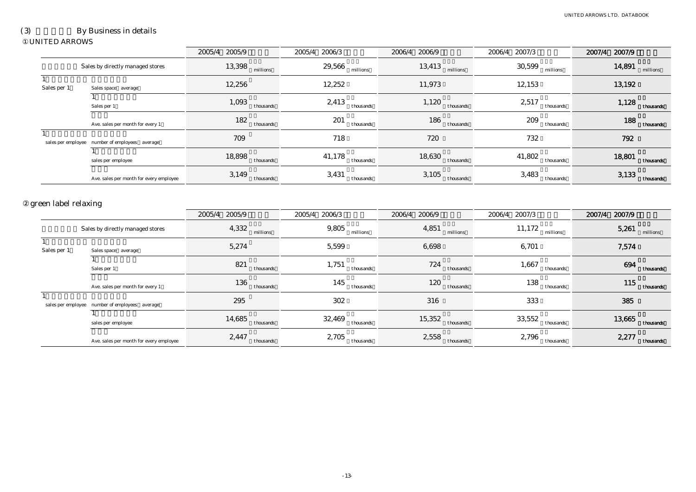# (3) By Business in details

#### UNITED ARROWS

|                             |                                                | 2005/4 2005/9       | 2006/3<br>2005/4    | 2006/4 2006/9                | 2007/3<br>2006/4    | 2007/4 2007/9       |
|-----------------------------|------------------------------------------------|---------------------|---------------------|------------------------------|---------------------|---------------------|
|                             | Sales by directly managed stores               | 13,398<br>millions  | $29,566$ millions   | 13,413<br>millions           | 30,599<br>millions  | $14,891$ millions   |
| $\mathbf{1}$<br>Sales per 1 | Sales space average                            | 12,256              | 12,252              | 11,973                       | 12,153              | 13,192              |
|                             | Sales per 1                                    | 1,093<br>thousands  | 2,413<br>thousants  | 1,120<br>thousands           | 2,517<br>thousands  | 1,128<br>thousands  |
|                             | Ave. sales per month for every 1               | 182<br>thousands    | 201<br>thousands    | 186<br>thousands             | 209<br>thousands    | 188<br>thousands    |
|                             | sales per employee number of employees average | 709                 | 718                 | 720                          | 732                 | 792                 |
|                             | sales per employee                             | 18,898<br>thousands | 41,178<br>thousands | 18,630<br>thousands          | 41,802<br>thousands | 18,801<br>thousands |
|                             | Ave. sales per month for every employee        | 3,149<br>thousands  | 3,431<br>thousands  | 3,105<br>thousands           | 3,483<br>thousands  | 3,133<br>thousands  |
| green label relaxing        |                                                |                     |                     |                              |                     |                     |
|                             |                                                | 2005/4<br>2005/9    | 2005/4<br>2006/3    | 2006/4<br>2006/9             | 2006/4<br>2007/3    | 2007/4<br>2007/9    |
|                             | Sales by directly managed stores               | 4,332<br>millions   | 9,805<br>millions   | 4,851<br>millions            | 11,172<br>millions  | 5,261<br>millions   |
| Sales per 1                 | Sales space average                            | 5,274               | 5,599               | 6,698                        | 6,701               | 7,574               |
|                             | Sales per 1                                    | 821<br>thousands    | 1,751<br>thousands  | 724<br>thousands             | 1,667<br>thousands  | 694<br>thousands    |
|                             | Ave. sales per month for every 1               | 136<br>thousands    | 145<br>thousands    | 120<br>thousands             | 138<br>thousands    | 115<br>thousands    |
|                             | sales per employee number of employees average | 295                 | 302                 | 316                          | 333                 | 385                 |
|                             | sales per employee                             | 14,685<br>thousands | 32,469<br>thousands | 15,352<br>thousands          | 33,552<br>thousands | 13,665<br>thousands |
|                             | Ave. sales per month for every employee        | 2,447<br>thousands  | 2,705<br>thousands  | $2,558$ <sub>thousands</sub> | 2,796<br>thousands  | 2,277<br>thousands  |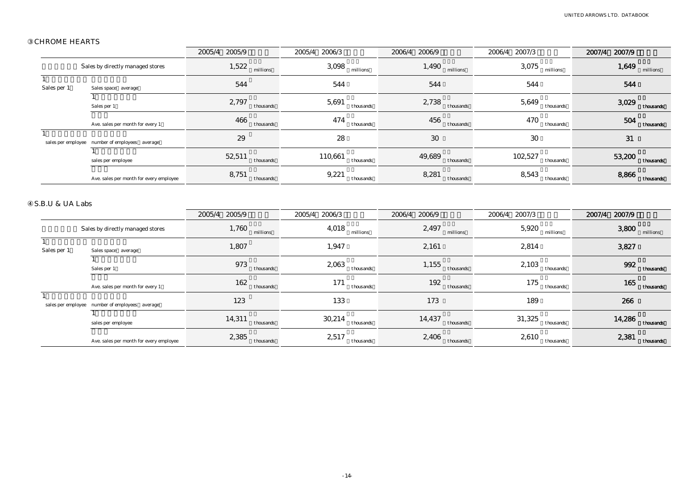### CHROME HEARTS

|                             |                                                | 2005/4 2005/9       | 2005/4<br>2006/3     | 2006/9<br>2006/4    | 2006/4<br>2007/3     | 2007/9<br>2007/4    |
|-----------------------------|------------------------------------------------|---------------------|----------------------|---------------------|----------------------|---------------------|
|                             | Sales by directly managed stores               | 1,522<br>millions   | 3,098<br>millions    | 1,490<br>millions   | 3,075<br>millions    | 1,649<br>millions   |
| $\mathbf{1}$<br>Sales per 1 | Sales space average                            | 544                 | 544                  | 544                 | 544                  | 544                 |
|                             | $\overline{1}$<br>Sales per 1                  | 2,797<br>thousands  | 5,691<br>thousands   | 2,738<br>thousands  | 5,649<br>thousands   | 3,029<br>thousands  |
|                             | Ave. sales per month for every 1               | 466<br>thousands    | 474<br>thousands     | 456<br>thousands    | 470<br>thousands     | 504<br>thousands    |
|                             | sales per employee number of employees average | $\bf 29$            | 28                   | $30\,$              | 30                   | 31                  |
|                             | sales per employee                             | 52,511<br>thousands | 110,661<br>thousands | 49,689<br>thousands | 102,527<br>thousands | 53,200<br>thousands |
|                             | Ave. sales per month for every employee        | 8,751<br>thousands  | 9,221<br>thousands   | 8,281<br>thousands  | 8,543<br>thousands   | 8,866<br>thousands  |
| S.B.U & UA Labs             |                                                | 2005/4 2005/9       | 2006/3<br>2005/4     | 2006/4<br>2006/9    | 2007/3<br>2006/4     | 2007/9<br>2007/4    |
|                             | Sales by directly managed stores               | 1,760<br>millions   | 4,018<br>millions    | 2,497<br>millions   | 5,920<br>millions    | 3,800<br>millions   |
| $\mathbf{1}$<br>Sales per 1 | Sales space average                            | 1,807               | 1,947                | 2,161               | 2,814                | 3,827               |
|                             | Sales per 1                                    | 973<br>thousands    | 2,063<br>thousands   | 1,155<br>thousands  | 2,103<br>thousands   | 992<br>thousands    |
|                             | Ave. sales per month for every 1               | 162<br>thousands    | 171<br>thousands     | 192<br>thousands    | 175<br>thousands     | 165<br>thousands    |
|                             | sales per employee number of employees average | 123                 | 133                  | 173                 | 189                  | 266                 |
|                             | 1<br>sales per employee                        | 14,311<br>thousands | 30,214<br>thousands  | 14,437<br>thousands | 31,325<br>thousands  | 14,286<br>thousands |
|                             | Ave. sales per month for every employee        | 2,385<br>thousands  | 2,517<br>thousands   | 2,406<br>thousands  | 2,610<br>thousands   | 2,381<br>thousands  |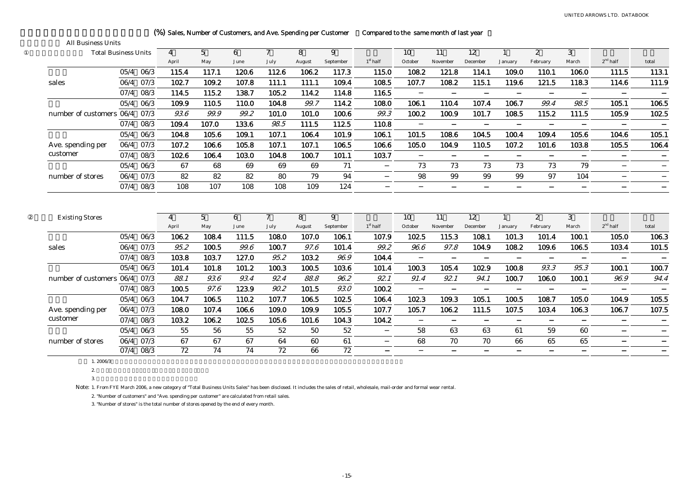| <b>Total Business Units</b> |      |           | 4              | 5               | 6     | $\tau$          | 8      | 9               |            | 10      | 11       | 12       |              | 2            | 3     |            |       |
|-----------------------------|------|-----------|----------------|-----------------|-------|-----------------|--------|-----------------|------------|---------|----------|----------|--------------|--------------|-------|------------|-------|
|                             |      |           | April          | May             | June  | July            | August | September       | $1st$ half | October | November | December | January      | February     | March | $2nd$ half | total |
|                             |      | 05/4 06/3 | 115.4          | 117.1           | 120.6 | 112.6           | 106.2  | 117.3           | 115.0      | 108.2   | 121.8    | 114.1    | 109.0        | 110.1        | 106.0 | 111.5      | 113.1 |
| sales                       | 06/4 | 07/3      | 102.7          | 109.2           | 107.8 | 111.1           | 111.1  | 109.4           | 108.5      | 107.7   | 108.2    | 115.1    | 119.6        | 121.5        | 118.3 | 114.6      | 111.9 |
|                             | 07/4 | 08/3      | 114.5          | 115.2           | 138.7 | 105.2           | 114.2  | 114.8           | 116.5      |         |          |          |              |              |       |            |       |
|                             | 05/4 | 06/3      | 109.9          | 110.5           | 110.0 | 104.8           | 99.7   | 114.2           | 108.0      | 106.1   | 110.4    | 107.4    | 106.7        | 99.4         | 98.5  | 105.1      | 106.5 |
| number of customers 06/4    |      | 07/3      | 93.6           | 99.9            | 99.2  | 101.0           | 101.0  | 100.6           | 99.3       | 100.2   | 100.9    | 101.7    | 108.5        | 115.2        | 111.5 | 105.9      | 102.5 |
|                             | 07/4 | 08/3      | 109.4          | 107.0           | 133.6 | 98.5            | 111.5  | 112.5           | 110.8      |         |          |          |              |              |       |            |       |
|                             | 05/4 | 06/3      | 104.8          | 105.6           | 109.1 | 107.1           | 106.4  | 101.9           | 106.1      | 101.5   | 108.6    | 104.5    | 100.4        | 109.4        | 105.6 | 104.6      | 105.1 |
| Ave. spending per           | 06/4 | 07/3      | 107.2          | 106.6           | 105.8 | 107.1           | 107.1  | 106.5           | 106.6      | 105.0   | 104.9    | 110.5    | 107.2        | 101.6        | 103.8 | 105.5      | 106.4 |
| customer                    | 07/4 | 08/3      | 102.6          | 106.4           | 103.0 | 104.8           | 100.7  | 101.1           | 103.7      |         |          |          |              |              |       |            |       |
|                             | 05/4 | 06/3      | 67             | 68              | 69    | 69              | 69     | 71              |            | 73      | 73       | 73       | 73           | 73           | 79    |            |       |
| number of stores            |      | 06/4 07/3 | 82             | 82              | 82    | 80              | 79     | 94              |            | 98      | 99       | 99       | 99           | 97           | 104   |            |       |
|                             | 07/4 | 08/3      | 108            | 107             | 108   | 108             | 109    | 124             |            |         |          |          |              |              |       |            |       |
| <b>Existing Stores</b>      |      |           | $\overline{4}$ | $5\overline{)}$ | 6     | $\overline{7}$  | 8      | 9               |            | 10      | 11       | 12       | $\mathbf{1}$ | $\mathbf{2}$ | 3     |            |       |
|                             |      |           | April          | May             | June  | July            | August | September       | $1st$ half | October | November | December | January      | February     | March | $2nd$ half | total |
|                             | 05/4 | 06/3      | 106.2          | 108.4           | 111.5 | 108.0           | 107.0  | 106.1           | 107.9      | 102.5   | 115.3    | 108.1    | 101.3        | 101.4        | 100.1 | 105.0      | 106.3 |
| sales                       | 06/4 | 07/3      | 95.2           | 100.5           | 99.6  | 100.7           | 97.6   | 101.4           | 99.2       | 96.6    | 97.8     | 104.9    | 108.2        | 109.6        | 106.5 | 103.4      | 101.5 |
|                             | 07/4 | 08/3      | 103.8          | 103.7           | 127.0 | 95.2            | 103.2  | 96.9            | 104.4      |         |          |          |              |              |       |            |       |
|                             | 05/4 | 06/3      | 101.4          | 101.8           | 101.2 | 100.3           | 100.5  | 103.6           | 101.4      | 100.3   | 105.4    | 102.9    | 100.8        | 93.3         | 95.3  | 100.1      | 100.7 |
| number of customers 06/4    |      | 07/3      | 88.1           | 93.6            | 93.4  | 92.4            | 88.8   | 96.2            | 92.1       | 91.4    | 92.1     | 94.1     | 100.7        | 106.0        | 100.1 | 96.9       | 94.4  |
|                             |      | 07/4 08/3 | 100.5          | 97.6            | 123.9 | 90.2            | 101.5  | 93.0            | 100.2      |         |          |          |              |              |       |            |       |
|                             | 05/4 | 06/3      | 104.7          | 106.5           | 110.2 | 107.7           | 106.5  | 102.5           | 106.4      | 102.3   | 109.3    | 105.1    | 100.5        | 108.7        | 105.0 | 104.9      | 105.5 |
| Ave. spending per           | 06/4 | 07/3      | 108.0          | 107.4           | 106.6 | 109.0           | 109.9  | 105.5           | 107.7      | 105.7   | 106.2    | 111.5    | 107.5        | 103.4        | 106.3 | 106.7      | 107.5 |
| customer                    | 07/4 | 08/3      | 103.2          | 106.2           | 102.5 | 105.6           | 101.6  | 104.3           | 104.2      |         |          |          |              |              |       |            |       |
|                             | 05/4 | 06/3      | 55             | 56              | 55    | 52              | 50     | 52              |            | 58      | 63       | 63       | 61           | 59           | 60    |            |       |
| number of stores            | 06/4 | 07/3      | 67             | 67              | 67    | 64              | 60     | 61              |            | 68      | 70       | 70       | 66           | 65           | 65    |            |       |
|                             |      | 07/4 08/3 | 72             | 74              | 74    | $\overline{72}$ | 66     | $\overline{72}$ |            |         |          |          |              |              |       |            |       |

# (%) Sales, Number of Customers, and Ave. Spending per Customer Compared to the same month of last year

1. 2006/3

2.

3.

All Business Units

Note: 1. From FYE March 2006, a new category of "Total Business Units Sales" has been disclosed. It includes the sales of retail, wholesale, mail-order and formal wear rental.

2. "Number of customers" and "Ave. spending per customer" are calculated from retail sales.

3. "Number of stores" is the total number of stores opened by the end of every month.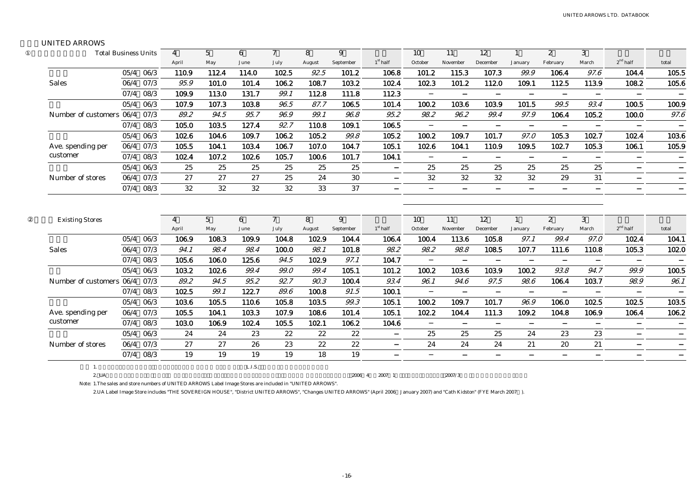#### UNITED ARROWS

| <b>Total Business Units</b>   |      |           | $\overline{4}$          | $\overline{5}$         | 6         | $\overline{7}$       | 8           | 9              |            | 10            | 11             | 12             |                           | 2             | 3          |                   |       |
|-------------------------------|------|-----------|-------------------------|------------------------|-----------|----------------------|-------------|----------------|------------|---------------|----------------|----------------|---------------------------|---------------|------------|-------------------|-------|
|                               |      |           | April                   | May                    | June      | July                 | August      | September      | $1st$ half | October       | November       | December       | January                   | February      | March      | $2nd$ half        | total |
|                               |      | 05/4 06/3 | 110.9                   | 112.4                  | 114.0     | 102.5                | 92.5        | 101.2          | 106.8      | 101.2         | 115.3          | 107.3          | 99.9                      | 106.4         | 97.6       | 104.4             | 105.5 |
| <b>Sales</b>                  | 06/4 | 07/3      | 95.9                    | 101.0                  | 101.4     | 106.2                | 108.7       | 103.2          | 102.4      | 102.3         | 101.2          | 112.0          | 109.1                     | 112.5         | 113.9      | 108.2             | 105.6 |
|                               | 07/4 | 08/3      | 109.9                   | 113.0                  | 131.7     | 99.1                 | 112.8       | 111.8          | 112.3      |               |                |                |                           |               |            |                   |       |
|                               | 05/4 | 06/3      | 107.9                   | 107.3                  | 103.8     | 96.5                 | 87.7        | 106.5          | 101.4      | 100.2         | 103.6          | 103.9          | 101.5                     | 99.5          | 93.4       | 100.5             | 100.9 |
| Number of customers 06/4 07/3 |      |           | 89.2                    | 94.5                   | 95.7      | 96.9                 | 99.1        | 96.8           | 95.2       | 98.2          | 96.2           | 99.4           | 97.9                      | 106.4         | 105.2      | 100.0             | 97.6  |
|                               | 07/4 | 08/3      | 105.0                   | 103.5                  | 127.4     | 92.7                 | 110.8       | 109.1          | 106.5      |               |                |                |                           |               |            |                   |       |
|                               | 05/4 | 06/3      | 102.6                   | 104.6                  | 109.7     | 106.2                | 105.2       | 99.8           | 105.2      | 100.2         | 109.7          | 101.7          | 97.0                      | 105.3         | 102.7      | 102.4             | 103.6 |
| Ave. spending per             |      | 06/4 07/3 | 105.5                   | 104.1                  | 103.4     | 106.7                | 107.0       | 104.7          | 105.1      | 102.6         | 104.1          | 110.9          | 109.5                     | 102.7         | 105.3      | 106.1             | 105.9 |
| customer                      | 07/4 | 08/3      | 102.4                   | 107.2                  | 102.6     | 105.7                | 100.6       | 101.7          | 104.1      |               |                |                |                           |               |            |                   |       |
|                               |      | 05/4 06/3 | 25                      | 25                     | 25        | 25                   | 25          | 25             |            | 25            | 25             | 25             | 25                        | 25            | 25         |                   |       |
| Number of stores              |      | 06/4 07/3 | 27                      | 27                     | 27        | 25                   | 24          | 30             |            | 32            | 32             | 32             | 32                        | 29            | 31         |                   |       |
|                               | 07/4 | 08/3      | 32                      | 32                     | 32        | 32                   | 33          | 37             |            |               |                |                |                           |               |            |                   |       |
|                               |      |           |                         |                        |           |                      |             |                |            |               |                |                |                           |               |            |                   |       |
| <b>Existing Stores</b>        |      |           | $\overline{4}$<br>April | $5\overline{)}$<br>May | 6<br>June | $\mathcal I$<br>July | 8<br>August | 9<br>September | $1st$ half | 10<br>October | 11<br>November | 12<br>December | $\overline{1}$<br>January | 2<br>February | 3<br>March | $2^{\rm nd}$ half | total |
|                               |      | 05/4 06/3 | 106.9                   | 108.3                  | 109.9     | 104.8                | 102.9       | 104.4          | 106.4      | 100.4         | 113.6          | 105.8          | 97.1                      | 99.4          | 97.0       | 102.4             | 104.1 |
| <b>Sales</b>                  |      | 06/4 07/3 | 94.1                    | 98.4                   | 98.4      | 100.0                | 98.1        | 101.8          | 98.2       | 98.2          | 98.8           | 108.5          | 107.7                     | 111.6         | 110.8      | 105.3             | 102.0 |
|                               | 07/4 | 08/3      | 105.6                   | 106.0                  | 125.6     | 94.5                 | 102.9       | 97.1           | 104.7      |               |                |                |                           |               |            |                   |       |
|                               | 05/4 | 06/3      | 103.2                   | 102.6                  | 99.4      | 99.0                 | 99.4        | 105.1          | 101.2      | 100.2         | 103.6          | 103.9          | 100.2                     | 93.8          | 94.7       | 99.9              | 100.5 |
| Number of customers 06/4      |      | 07/3      | 89.2                    | 94.5                   | 95.2      | 92.7                 | 90.3        | 100.4          | 93.4       | 96.1          | 94.6           | 97.5           | 98.6                      | 106.4         | 103.7      | 98.9              | 96.1  |
|                               | 07/4 | 08/3      | 102.5                   | 99.1                   | 122.7     | 89.6                 | 100.8       | 91.5           | 100.1      |               |                |                |                           |               |            |                   |       |
|                               |      | 05/4 06/3 | 103.6                   | 105.5                  | 110.6     | 105.8                | 103.5       | 99.3           | 105.1      | 100.2         | 109.7          | 101.7          | 96.9                      | 106.0         | 102.5      | 102.5             | 103.5 |
| Ave. spending per             | 06/4 | 07/3      | 105.5                   | 104.1                  | 103.3     | 107.9                | 108.6       | 101.4          | 105.1      | 102.2         | 104.4          | 111.3          | 109.2                     | 104.8         | 106.9      | 106.4             | 106.2 |
| customer                      | 07/4 | 08/3      | 103.0                   | 106.9                  | 102.4     | 105.5                | 102.1       | 106.2          | 104.6      |               |                |                |                           |               |            |                   |       |
|                               | 05/4 | 06/3      | 24                      | 24                     | 23        | 22                   | 22          | 22             |            | 25            | 25             | $25\,$         | 24                        | 23            | 23         |                   |       |
| Number of stores              | 06/4 | 07/3      | 27                      | 27                     | 26        | 23                   | 22          | $22\,$         |            | 24            | 24             | 24             | 21                        | 20            | 21         |                   |       |
|                               |      | 07/4 08/3 | 19                      | 19                     | 19        | 19                   | 18          | 19             |            |               |                |                |                           |               |            |                   |       |
| 1.                            |      |           |                         |                        | L.I.S.    |                      |             |                |            |               |                |                |                           |               |            |                   |       |

Note: 1.The sales and store numbers of UNITED ARROWS Label Image Stores are included in "UNITED ARROWS".

2.UA Label Image Store includes "THE SOVEREIGN HOUSE", "District UNITED ARROWS", "Changes UNITED ARROWS" (April 2006 January 2007) and "Cath Kidston" (FYE March 2007 ).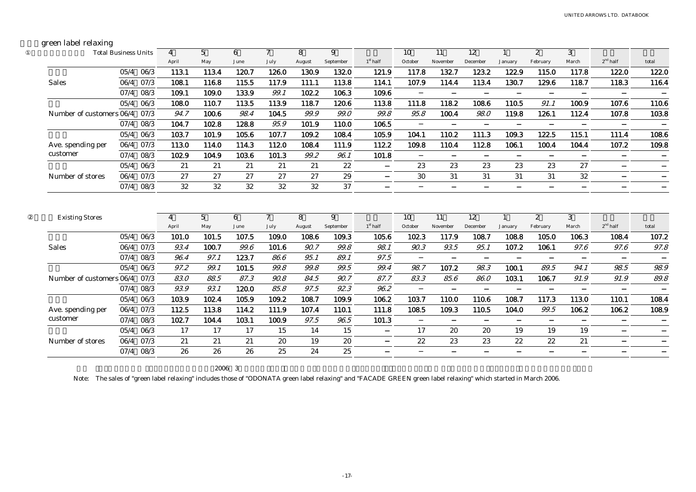# green label relaxing

|                          | <b>Total Business Units</b> |             | 4     | $\overline{5}$  | 6        | $\tau$       | 8        | 9         |            | 10      | 11       | $12 \overline{ }$ |              | $\mathbf{2}$ | 3      |                   |            |
|--------------------------|-----------------------------|-------------|-------|-----------------|----------|--------------|----------|-----------|------------|---------|----------|-------------------|--------------|--------------|--------|-------------------|------------|
|                          |                             |             | April | May             | June     | July         | August   | September | $1st$ half | October | November | December          | January      | February     | March  | $2^{\rm nd}$ half | total      |
|                          |                             | 05/4 06/3   | 113.1 | 113.4           | 120.7    | 126.0        | 130.9    | 132.0     | 121.9      | 117.8   | 132.7    | 123.2             | 122.9        | 115.0        | 117.8  | 122.0             | 122.0      |
| <b>Sales</b>             | 06/4                        | 07/3        | 108.1 | 116.8           | 115.5    | 117.9        | 111.1    | 113.8     | 114.1      | 107.9   | 114.4    | 113.4             | 130.7        | 129.6        | 118.7  | 118.3             | 116.4      |
|                          |                             | 07/4 08/3   | 109.1 | 109.0           | 133.9    | 99.1         | 102.2    | 106.3     | 109.6      |         |          |                   |              |              |        |                   |            |
|                          |                             | 05/4 06/3   | 108.0 | 110.7           | 113.5    | 113.9        | 118.7    | 120.6     | 113.8      | 111.8   | 118.2    | 108.6             | 110.5        | 91.1         | 100.9  | 107.6             | 110.6      |
| Number of customers 06/4 |                             | 07/3        | 94.7  | 100.6           | 98.4     | 104.5        | 99.9     | 99.0      | 99.8       | 95.8    | 100.4    | $98.0\,$          | 119.8        | 126.1        | 112.4  | 107.8             | 103.8      |
|                          |                             | 07/4 08/3   | 104.7 | 102.8           | 128.8    | 95.9         | 101.9    | 110.0     | 106.5      |         |          |                   |              |              |        |                   |            |
|                          |                             | 05/4 06/3   | 103.7 | 101.9           | 105.6    | 107.7        | 109.2    | 108.4     | 105.9      | 104.1   | 110.2    | 111.3             | 109.3        | 122.5        | 115.1  | 111.4             | 108.6      |
| Ave. spending per        |                             | 06/4 07/3   | 113.0 | 114.0           | 114.3    | 112.0        | 108.4    | 111.9     | 112.2      | 109.8   | 110.4    | 112.8             | 106.1        | 100.4        | 104.4  | 107.2             | 109.8      |
| customer                 | 07/4                        | 08/3        | 102.9 | 104.9           | 103.6    | 101.3        | 99.2     | 96.1      | 101.8      |         |          |                   |              |              |        |                   |            |
|                          |                             | $05/4$ 06/3 | 21    | 21              | 21       | 21           | 21       | 22        |            | 23      | 23       | 23                | 23           | 23           | 27     |                   |            |
| Number of stores         |                             | 06/4 07/3   | 27    | 27              | 27       | 27           | 27       | 29        |            | 30      | 31       | 31                | 31           | 31           | $32\,$ |                   |            |
|                          |                             | 07/4 08/3   | 32    | 32              | 32       | 32           | 32       | 37        |            |         |          |                   |              |              |        |                   |            |
|                          |                             |             |       |                 |          |              |          |           |            |         |          |                   |              |              |        |                   |            |
|                          |                             |             | 4     | $5\overline{)}$ | 6        | $\mathcal I$ | 8        | 9         |            | 10      | 11       | 12                | $\mathbf{1}$ | $\mathbf{2}$ | 3      |                   |            |
| <b>Existing Stores</b>   |                             |             | April | May             | June     | July         | August   | September | $1st$ half | October | November | December          | January      | February     | March  | $2nd$ half        | total      |
|                          |                             | 05/4 06/3   | 101.0 | 101.5           | 107.5    | 109.0        | 108.6    | 109.3     | 105.6      | 102.3   | 117.9    | 108.7             | 108.8        | 105.0        | 106.3  | 108.4             | 107.2      |
| <b>Sales</b>             | 06/4                        | 07/3        | 93.4  | 100.7           | 99.6     | 101.6        | 90.7     | 99.8      | 98.1       | 90.3    | 93.5     | 95.1              | 107.2        | 106.1        | 97.6   | 97.6              | $97.8\,$   |
|                          | 07/4                        | 08/3        | 96.4  | 97.1            | 123.7    | 86.6         | 95.1     | 89.1      | 97.5       |         |          |                   |              |              |        |                   |            |
|                          | 05/4                        | 06/3        | 97.2  | 99.1            | 101.5    | 99.8         | 99.8     | 99.5      | 99.4       | 98.7    | 107.2    | 98.3              | 100.1        | 89.5         | 94.1   | 98.5              | 98.9       |
| Number of customers 06/4 |                             | 07/3        | 83.0  | 88.5            | 87.3     | 90.8         | 84.5     | 90.7      | 87.7       | 83.3    | 85.6     | 86.0              | 103.1        | 106.7        | 91.9   | 91.9              | $\it 89.8$ |
|                          | 07/4                        | 08/3        | 93.9  | 93.1            | 120.0    | 85.8         | 97.5     | 92.3      | 96.2       |         |          |                   |              |              |        |                   |            |
|                          | 05/4                        | 06/3        | 103.9 | 102.4           | 105.9    | 109.2        | 108.7    | 109.9     | 106.2      | 103.7   | 110.0    | 110.6             | 108.7        | 117.3        | 113.0  | 110.1             | 108.4      |
| Ave. spending per        |                             | 06/4 07/3   | 112.5 | 113.8           | 114.2    | 111.9        | 107.4    | 110.1     | 111.8      | 108.5   | 109.3    | 110.5             | 104.0        | 99.5         | 106.2  | 106.2             | 108.9      |
| customer                 | 07/4                        | 08/3        | 102.7 | 104.4           | 103.1    | 100.9        | $97.5\,$ | 96.5      | 101.3      |         |          |                   |              |              |        |                   |            |
|                          | 05/4                        | 06/3        | 17    | 17              | 17       | 15           | 14       | 15        |            | 17      | 20       | 20                | 19           | 19           | 19     |                   |            |
| Number of stores         | 06/4                        | 07/3        | 21    | 21<br>26        | 21<br>26 | 20           | 19<br>24 | 20        |            | 22      | 23       | 23                | 22           | 22           | 21     |                   |            |

2006 3

Note: The sales of "green label relaxing" includes those of "ODONATA green label relaxing" and "FACADE GREEN green label relaxing" which started in March 2006.

-17-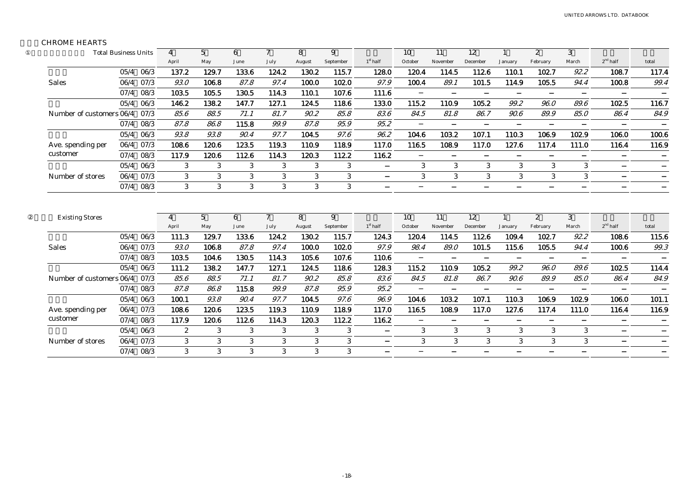### CHROME HEARTS

|                          | <b>Total Business Units</b> |           | 4              | 5     | 6            | 7              | 8      | 9         |            | 10           | 11       | 12       |                | $\mathbf{2}$ | 3     |            |       |
|--------------------------|-----------------------------|-----------|----------------|-------|--------------|----------------|--------|-----------|------------|--------------|----------|----------|----------------|--------------|-------|------------|-------|
|                          |                             |           | April          | May   | June         | July           | August | September | $1st$ half | October      | November | December | January        | February     | March | $2nd$ half | total |
|                          |                             | 05/4 06/3 | 137.2          | 129.7 | 133.6        | 124.2          | 130.2  | 115.7     | 128.0      | 120.4        | 114.5    | 112.6    | 110.1          | 102.7        | 92.2  | 108.7      | 117.4 |
| <b>Sales</b>             | 06/4                        | 07/3      | 93.0           | 106.8 | 87.8         | 97.4           | 100.0  | 102.0     | 97.9       | 100.4        | 89.1     | 101.5    | 114.9          | 105.5        | 94.4  | 100.8      | 99.4  |
|                          | 07/4                        | 08/3      | 103.5          | 105.5 | 130.5        | 114.3          | 110.1  | 107.6     | 111.6      |              |          |          |                |              |       |            |       |
|                          | 05/4                        | 06/3      | 146.2          | 138.2 | 147.7        | 127.1          | 124.5  | 118.6     | 133.0      | 115.2        | 110.9    | 105.2    | 99.2           | 96.0         | 89.6  | 102.5      | 116.7 |
| Number of customers 06/4 |                             | 07/3      | 85.6           | 88.5  | 71.1         | 81.7           | 90.2   | 85.8      | 83.6       | 84.5         | 81.8     | 86.7     | 90.6           | 89.9         | 85.0  | 86.4       | 84.9  |
|                          | 07/4                        | 08/3      | 87.8           | 86.8  | 115.8        | 99.9           | 87.8   | 95.9      | 95.2       |              |          |          |                |              |       |            |       |
|                          | 05/4                        | 06/3      | 93.8           | 93.8  | 90.4         | 97.7           | 104.5  | 97.6      | 96.2       | 104.6        | 103.2    | 107.1    | 110.3          | 106.9        | 102.9 | 106.0      | 100.6 |
| Ave. spending per        | 06/4                        | 07/3      | 108.6          | 120.6 | 123.5        | 119.3          | 110.9  | 118.9     | 117.0      | 116.5        | 108.9    | 117.0    | 127.6          | 117.4        | 111.0 | 116.4      | 116.9 |
| customer                 | 07/4                        | 08/3      | 117.9          | 120.6 | 112.6        | 114.3          | 120.3  | 112.2     | 116.2      |              |          |          |                |              |       |            |       |
|                          | 05/4                        | 06/3      | 3              | 3     | 3            | 3              | 3      | 3         |            | 3            | 3        | 3        | 3              | 3            | 3     |            |       |
| Number of stores         | 06/4                        | 07/3      | 3              | 3     | 3            | $\mathbf{3}$   | 3      | 3         |            | $\mathbf{3}$ | 3        | 3        | 3 <sup>1</sup> | 3            | 3     |            |       |
|                          | 07/4                        | 08/3      | 3              | 3     | $\mathbf{3}$ | $\mathbf{3}$   | 3      | 3         |            |              |          |          |                |              |       |            |       |
| <b>Existing Stores</b>   |                             |           | $\overline{4}$ | 5     | 6            | $\overline{7}$ | 8      | 9         |            | 10           | 11       | 12       | $\overline{1}$ | 2            | 3     |            |       |
|                          |                             |           | April          | May   | June         | July           | August | September | $1st$ half | October      | November | December | January        | February     | March | $2nd$ half | total |
|                          | 05/4                        | 06/3      | 111.3          | 129.7 | 133.6        | 124.2          | 130.2  | 115.7     | 124.3      | 120.4        | 114.5    | 112.6    | 109.4          | 102.7        | 92.2  | 108.6      | 115.6 |
| <b>Sales</b>             | 06/4                        | 07/3      | 93.0           | 106.8 | 87.8         | 97.4           | 100.0  | 102.0     | 97.9       | 98.4         | 89.0     | 101.5    | 115.6          | 105.5        | 94.4  | 100.6      | 99.3  |
|                          | 07/4                        | 08/3      | 103.5          | 104.6 | 130.5        | 114.3          | 105.6  | 107.6     | 110.6      |              |          |          |                |              |       |            |       |
|                          | 05/4                        | 06/3      | 111.2          | 138.2 | 147.7        | 127.1          | 124.5  | 118.6     | 128.3      | 115.2        | 110.9    | 105.2    | 99.2           | 96.0         | 89.6  | 102.5      | 114.4 |
| Number of customers 06/4 |                             | 07/3      | 85.6           | 88.5  | 71.1         | 81.7           | 90.2   | 85.8      | 83.6       | 84.5         | 81.8     | 86.7     | 90.6           | 89.9         | 85.0  | 86.4       | 84.9  |
|                          |                             | 07/4 08/3 | 87.8           | 86.8  | 115.8        | 99.9           | 87.8   | 95.9      | 95.2       |              |          |          |                |              |       |            |       |
|                          | 05/4                        | 06/3      | 100.1          | 93.8  | 90.4         | 97.7           | 104.5  | 97.6      | 96.9       | 104.6        | 103.2    | 107.1    | 110.3          | 106.9        | 102.9 | 106.0      | 101.1 |
| Ave. spending per        | 06/4                        | 07/3      | 108.6          | 120.6 | 123.5        | 119.3          | 110.9  | 118.9     | 117.0      | 116.5        | 108.9    | 117.0    | 127.6          | 117.4        | 111.0 | 116.4      | 116.9 |
| customer                 | 07/4                        | 08/3      | 117.9          | 120.6 | 112.6        | 114.3          | 120.3  | 112.2     | 116.2      |              |          |          |                |              |       |            |       |
|                          | 05/4                        | 06/3      | $\mathbf{2}$   | 3     | 3            | 3              | 3      | 3         |            | 3            | 3        | 3        | 3              | 3            | 3     |            |       |
| Number of stores         | 06/4                        | 07/3      | 3              | 3     | 3            | 3              | 3      | 3         |            | 3            | 3        | 3        | 3              | 3            | 3     |            |       |
|                          | 07/4                        | 08/3      | 3              | 3     | 3            | 3              | 3      | 3         |            |              |          |          |                |              |       |            |       |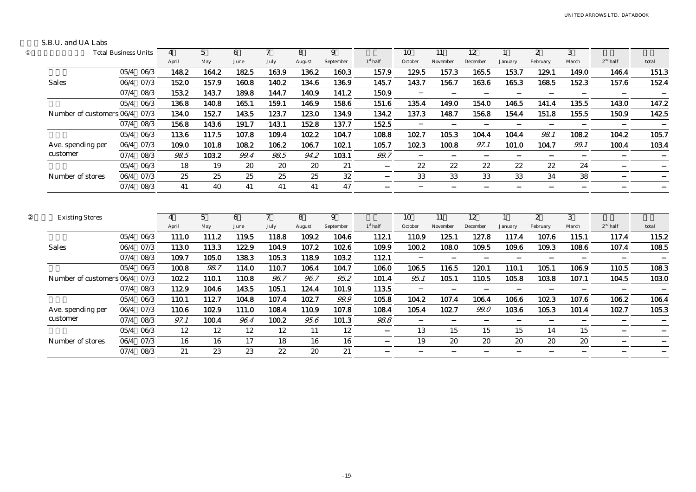#### S.B.U. and UA Labs

|                          | <b>Total Business Units</b> |           | 4                       | 5        | 6         | 7                      | 8           | 9              |            | 10            | 11             | 12             |                         | $\mathbf{2}$             | 3          |            |       |
|--------------------------|-----------------------------|-----------|-------------------------|----------|-----------|------------------------|-------------|----------------|------------|---------------|----------------|----------------|-------------------------|--------------------------|------------|------------|-------|
|                          |                             |           | April                   | May      | June      | July                   | August      | September      | $1st$ half | October       | November       | December       | January                 | February                 | March      | $2nd$ half | total |
|                          |                             | 05/4 06/3 | 148.2                   | 164.2    | 182.5     | 163.9                  | 136.2       | 160.3          | 157.9      | 129.5         | 157.3          | 165.5          | 153.7                   | 129.1                    | 149.0      | 146.4      | 151.3 |
| <b>Sales</b>             | 06/4                        | 07/3      | 152.0                   | 157.9    | 160.8     | 140.2                  | 134.6       | 136.9          | 145.7      | 143.7         | 156.7          | 163.6          | 165.3                   | 168.5                    | 152.3      | 157.6      | 152.4 |
|                          | 07/4                        | 08/3      | 153.2                   | 143.7    | 189.8     | 144.7                  | 140.9       | 141.2          | 150.9      |               |                |                |                         |                          |            |            |       |
|                          | 05/4                        | 06/3      | 136.8                   | 140.8    | 165.1     | 159.1                  | 146.9       | 158.6          | 151.6      | 135.4         | 149.0          | 154.0          | 146.5                   | 141.4                    | 135.5      | 143.0      | 147.2 |
| Number of customers 06/4 |                             | 07/3      | 134.0                   | 152.7    | 143.5     | 123.7                  | 123.0       | 134.9          | 134.2      | 137.3         | 148.7          | 156.8          | 154.4                   | 151.8                    | 155.5      | 150.9      | 142.5 |
|                          | 07/4                        | 08/3      | 156.8                   | 143.6    | 191.7     | 143.1                  | 152.8       | 137.7          | 152.5      |               |                |                |                         |                          |            |            |       |
|                          | 05/4                        | 06/3      | 113.6                   | 117.5    | 107.8     | 109.4                  | 102.2       | 104.7          | 108.8      | 102.7         | 105.3          | 104.4          | 104.4                   | 98.1                     | 108.2      | 104.2      | 105.7 |
| Ave. spending per        | 06/4                        | 07/3      | 109.0                   | 101.8    | 108.2     | 106.2                  | 106.7       | 102.1          | 105.7      | 102.3         | 100.8          | 97.1           | 101.0                   | 104.7                    | 99.1       | 100.4      | 103.4 |
| customer                 | 07/4                        | 08/3      | 98.5                    | 103.2    | 99.4      | 98.5                   | 94.2        | 103.1          | 99.7       |               |                |                |                         |                          |            |            |       |
|                          | 05/4                        | 06/3      | 18                      | 19       | 20        | 20                     | 20          | 21             |            | 22            | 22             | 22             | 22                      | 22                       | 24         |            |       |
| Number of stores         | 06/4                        | 07/3      | 25                      | 25       | 25        | 25                     | 25          | 32             |            | 33            | 33             | 33             | 33                      | 34                       | 38         |            |       |
|                          | 07/4                        | 08/3      | 41                      | 40       | 41        | 41                     | 41          | 47             |            |               |                |                |                         |                          |            |            |       |
| <b>Existing Stores</b>   |                             |           | $\overline{4}$<br>April | 5<br>May | 6<br>June | $\overline{7}$<br>July | 8<br>August | 9<br>September | $1st$ half | 10<br>October | 11<br>November | 12<br>December | $\mathbf{1}$<br>January | $\mathbf{2}$<br>February | 3<br>March | $2nd$ half | total |
|                          | 05/4                        | 06/3      | 111.0                   | 111.2    | 119.5     | 118.8                  | 109.2       | 104.6          | 112.1      | 110.9         | 125.1          | 127.8          | 117.4                   | 107.6                    | 115.1      | 117.4      | 115.2 |
| <b>Sales</b>             | 06/4                        | 07/3      | 113.0                   | 113.3    | 122.9     | 104.9                  | 107.2       | 102.6          | 109.9      | 100.2         | 108.0          | 109.5          | 109.6                   | 109.3                    | 108.6      | 107.4      | 108.5 |
|                          | 07/4                        | 08/3      | 109.7                   | 105.0    | 138.3     | 105.3                  | 118.9       | 103.2          | 112.1      |               |                |                |                         |                          |            |            |       |
|                          | 05/4                        | 06/3      | 100.8                   | 98.7     | 114.0     | 110.7                  | 106.4       | 104.7          | 106.0      | 106.5         | 116.5          | 120.1          | 110.1                   | 105.1                    | 106.9      | 110.5      | 108.3 |
| Number of customers 06/4 |                             | 07/3      | 102.2                   | 110.1    | 110.8     | 96.7                   | 96.7        | 95.2           | 101.4      | 95.1          | 105.1          | 110.5          | 105.8                   | 103.8                    | 107.1      | 104.5      | 103.0 |
|                          | 07/4                        | 08/3      | 112.9                   | 104.6    | 143.5     | 105.1                  | 124.4       | 101.9          | 113.5      |               |                |                |                         |                          |            |            |       |
|                          | 05/4                        | 06/3      | 110.1                   | 112.7    | 104.8     | 107.4                  | 102.7       | 99.9           | 105.8      | 104.2         | 107.4          | 106.4          | 106.6                   | 102.3                    | 107.6      | 106.2      | 106.4 |
| Ave. spending per        | 06/4                        | 07/3      | 110.6                   | 102.9    | 111.0     | 108.4                  | 110.9       | 107.8          | 108.4      | 105.4         | 102.7          | 99.0           | 103.6                   | 105.3                    | 101.4      | 102.7      | 105.3 |
| customer                 | 07/4                        | 08/3      | 97.1                    | 100.4    | 96.4      | 100.2                  | 95.6        | 101.3          | 98.8       |               |                |                |                         |                          |            |            |       |
|                          | 05/4                        | 06/3      | 12                      | 12       | 12        | 12                     | 11          | 12             |            | 13            | 15             | 15             | 15                      | 14                       | 15         |            |       |
| Number of stores         | 06/4                        | 07/3      | 16                      | 16       | 17        | 18                     | 16          | 16             |            | 19            | 20             | 20             | 20                      | 20                       | 20         |            |       |
|                          | 07/4                        | 08/3      | 21                      | 23       | 23        | 22                     | 20          | 21             |            |               |                |                |                         |                          |            |            |       |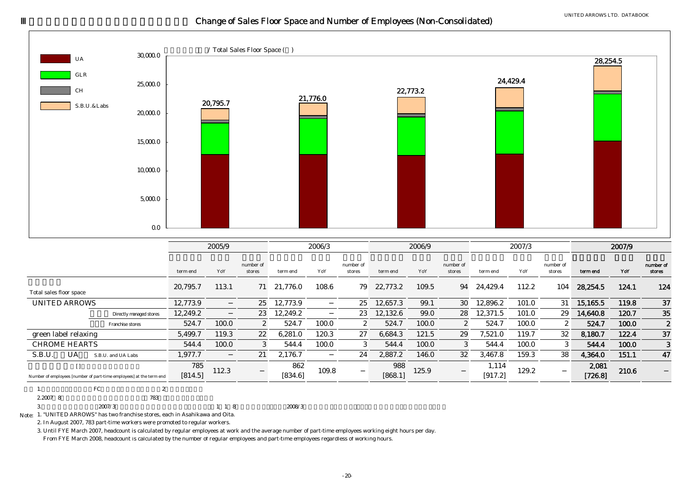# Change of Sales Floor Space and Number of Employees (Non-Consolidated)



|                                                                     |                | 2005/9 |                     |                | 2006/3 |                     |                | 2006/9 |                       |                  | 2007/3 |                     |                  | 2007/9 |                     |
|---------------------------------------------------------------------|----------------|--------|---------------------|----------------|--------|---------------------|----------------|--------|-----------------------|------------------|--------|---------------------|------------------|--------|---------------------|
|                                                                     | term end       | YoY    | number of<br>stores | term end       | YoY    | number of<br>stores | term end       | YoY    | number of<br>stores   | term end         | YoY    | number of<br>stores | term end         | YoY    | number of<br>stores |
| Total sales floor space                                             | 20.795.7       | 113.1  | 71                  | 21,776.0       | 108.6  | 79                  | 22,773.2       | 109.5  | 94                    | 24,429.4         | 112.2  | 104                 | 28,254.5         | 124.1  | 124                 |
| <b>UNITED ARROWS</b>                                                | 12.773.9       |        | 25                  | 12,773.9       |        | 25                  | 12.657.3       | 99.1   | 30                    | 12,896.2         | 101.0  | 31                  | 15.165.5         | 119.8  | 37                  |
| Directly managed stores                                             | 12.249.2       |        | 23                  | 12,249.2       |        | 23                  | 12,132.6       | 99.0   | 28                    | 12.371.5         | 101.0  | 29                  | 14,640.8         | 120.7  | 35                  |
| Franchise stores                                                    | 524.7          | 100.0  | $\mathbf{2}$        | 524.7          | 100.0  | $\mathbf{2}$        | 524.7          | 100.0  | $\mathbf{2}^{\prime}$ | 524.7            | 100.0  | $\mathbf{2}$        | 524.7            | 100.0  | $\boldsymbol{2}$    |
| green label relaxing                                                | 5,499.7        | 119.3  | 22                  | 6,281.0        | 120.3  | 27                  | 6,684.3        | 121.5  | 29                    | 7,521.0          | 119.7  | 32                  | 8,180.7          | 122.4  | 37                  |
| <b>CHROME HEARTS</b>                                                | 544.4          | 100.0  | 3                   | 544.4          | 100.0  | 3                   | 544.4          | 100.0  | 3                     | 544.4            | 100.0  | 3                   | 544.4            | 100.0  | 3                   |
| S.B.U.<br>UA<br>S.B.U. and UA Labs                                  | 1,977.7        |        | 21                  | 2,176.7        |        | 24                  | 2,887.2        | 146.0  | 32                    | 3,467.8          | 159.3  | 38                  | 4,364.0          | 151.1  | 47                  |
| Number of employees [number of part-time employees] at the term end | 785<br>[814.5] | 112.3  |                     | 862<br>[834.6] | 109.8  |                     | 988<br>[868.1] | 125.9  |                       | 1,114<br>[917.2] | 129.2  |                     | 2,081<br>[726.8] | 210.6  |                     |

| .,              | G7<br>טיי | $\tilde{ }$ |       |        |
|-----------------|-----------|-------------|-------|--------|
| 2,2007 8        |           | 783         |       |        |
| $\epsilon$<br>◡ | 2007/3    |             | 1 1 8 | 2008/3 |

Note: 1. "UNITED ARROWS" has two franchise stores, each in Asahikawa and Oita.

2. In August 2007, 783 part-time workers were promoted to regular workers.

3. Until FYE March 2007, headcount is calculated by regular employees at work and the average number of part-time employees working eight hours per day. From FYE March 2008, headcount is calculated by the number of regular employees and part-time employees regardless of working hours.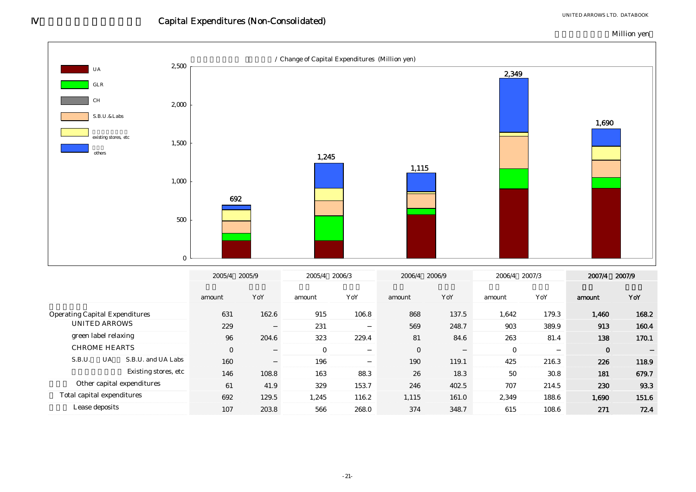![](_page_21_Figure_1.jpeg)

0

323 229.4

Operating Capital Expenditures 631 162.6 915 106.8 868 137.5 1,642 179.3 1,460 168.2

88.3

231

163

196

146 108.8

0

160

631229

204.6

162.6

UNITED ARROWS

CHROME HEARTS

S.B.U.

 Total capital expenditures Lease deposits

Other capital expenditures

green label relaxing  $\hspace{1.6cm}96$ 

UA S.B.U. and UA Labs

Existing stores, etc

61 41.9 329 153.7 246 402.5 707 214.5

915 137.5 106.8

107 203.8 566 268.0 374 348.7 615 108.6

692 129.5 1,245 116.2 1,115 161.0 2,349 188.6 1,690 151.6

8 163 88.3 26 18.3 50 30.8 **181** 

81 84.6

119.1

18.3

248.7

26190

0

569

230 93.3

226

913

0

118.9

160.4

138 170.1

-

679.7

216.3

389.9

81.4

425

271 72.4